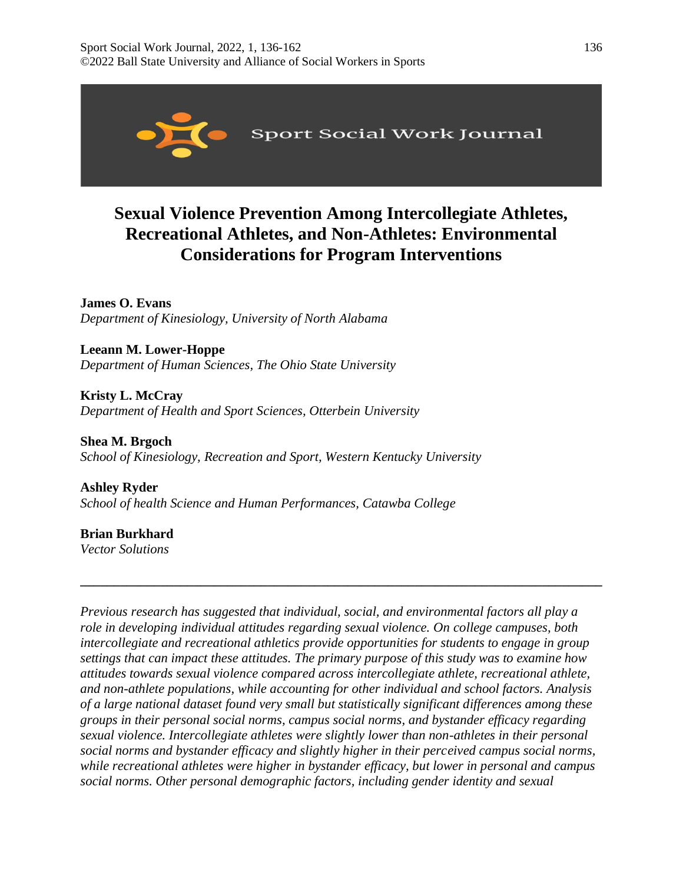

# **Sexual Violence Prevention Among Intercollegiate Athletes, Recreational Athletes, and Non-Athletes: Environmental Considerations for Program Interventions**

**James O. Evans** *Department of Kinesiology, University of North Alabama* 

**Leeann M. Lower-Hoppe** *Department of Human Sciences, The Ohio State University* 

**Kristy L. McCray**  *Department of Health and Sport Sciences, Otterbein University* 

**Shea M. Brgoch** *School of Kinesiology, Recreation and Sport, Western Kentucky University* 

**Ashley Ryder**  *School of health Science and Human Performances, Catawba College*

**Brian Burkhard** *Vector Solutions* 

*Previous research has suggested that individual, social, and environmental factors all play a role in developing individual attitudes regarding sexual violence. On college campuses, both intercollegiate and recreational athletics provide opportunities for students to engage in group settings that can impact these attitudes. The primary purpose of this study was to examine how attitudes towards sexual violence compared across intercollegiate athlete, recreational athlete, and non-athlete populations, while accounting for other individual and school factors. Analysis of a large national dataset found very small but statistically significant differences among these groups in their personal social norms, campus social norms, and bystander efficacy regarding sexual violence. Intercollegiate athletes were slightly lower than non-athletes in their personal social norms and bystander efficacy and slightly higher in their perceived campus social norms, while recreational athletes were higher in bystander efficacy, but lower in personal and campus social norms. Other personal demographic factors, including gender identity and sexual* 

**\_\_\_\_\_\_\_\_\_\_\_\_\_\_\_\_\_\_\_\_\_\_\_\_\_\_\_\_\_\_\_\_\_\_\_\_\_\_\_\_\_\_\_\_\_\_\_\_\_\_\_\_\_\_\_\_\_\_\_\_\_\_\_\_\_\_\_\_\_\_\_\_\_\_\_\_\_\_**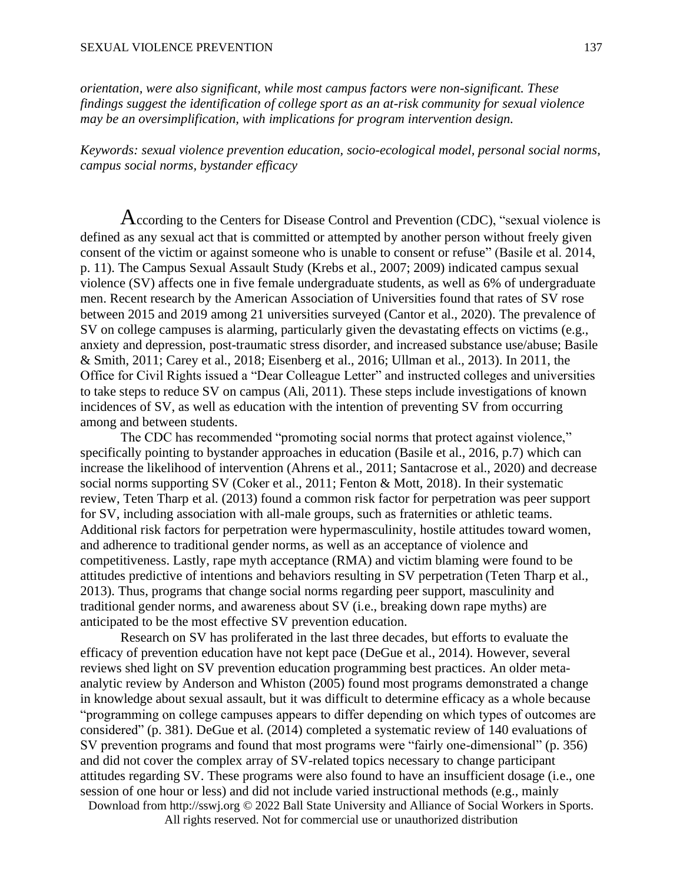*orientation, were also significant, while most campus factors were non-significant. These findings suggest the identification of college sport as an at-risk community for sexual violence may be an oversimplification, with implications for program intervention design.*

*Keywords: sexual violence prevention education, socio-ecological model, personal social norms, campus social norms, bystander efficacy*

According to the Centers for Disease Control and Prevention (CDC), "sexual violence is defined as any sexual act that is committed or attempted by another person without freely given consent of the victim or against someone who is unable to consent or refuse" (Basile et al. 2014, p. 11). The Campus Sexual Assault Study (Krebs et al., 2007; 2009) indicated campus sexual violence (SV) affects one in five female undergraduate students, as well as 6% of undergraduate men. Recent research by the American Association of Universities found that rates of SV rose between 2015 and 2019 among 21 universities surveyed (Cantor et al., 2020). The prevalence of SV on college campuses is alarming, particularly given the devastating effects on victims (e.g., anxiety and depression, post-traumatic stress disorder, and increased substance use/abuse; Basile & Smith, 2011; Carey et al., 2018; Eisenberg et al., 2016; Ullman et al., 2013). In 2011, the Office for Civil Rights issued a "Dear Colleague Letter" and instructed colleges and universities to take steps to reduce SV on campus (Ali, 2011). These steps include investigations of known incidences of SV, as well as education with the intention of preventing SV from occurring among and between students.

The CDC has recommended "promoting social norms that protect against violence," specifically pointing to bystander approaches in education (Basile et al., 2016, p.7) which can increase the likelihood of intervention (Ahrens et al., 2011; Santacrose et al., 2020) and decrease social norms supporting SV (Coker et al., 2011; Fenton & Mott, 2018). In their systematic review, Teten Tharp et al. (2013) found a common risk factor for perpetration was peer support for SV, including association with all-male groups, such as fraternities or athletic teams. Additional risk factors for perpetration were hypermasculinity, hostile attitudes toward women, and adherence to traditional gender norms, as well as an acceptance of violence and competitiveness. Lastly, rape myth acceptance (RMA) and victim blaming were found to be attitudes predictive of intentions and behaviors resulting in SV perpetration (Teten Tharp et al., 2013). Thus, programs that change social norms regarding peer support, masculinity and traditional gender norms, and awareness about SV (i.e., breaking down rape myths) are anticipated to be the most effective SV prevention education.

Download from http://sswj.org © 2022 Ball State University and Alliance of Social Workers in Sports. Research on SV has proliferated in the last three decades, but efforts to evaluate the efficacy of prevention education have not kept pace (DeGue et al., 2014). However, several reviews shed light on SV prevention education programming best practices. An older metaanalytic review by Anderson and Whiston (2005) found most programs demonstrated a change in knowledge about sexual assault, but it was difficult to determine efficacy as a whole because "programming on college campuses appears to differ depending on which types of outcomes are considered" (p. 381). DeGue et al. (2014) completed a systematic review of 140 evaluations of SV prevention programs and found that most programs were "fairly one-dimensional" (p. 356) and did not cover the complex array of SV-related topics necessary to change participant attitudes regarding SV. These programs were also found to have an insufficient dosage (i.e., one session of one hour or less) and did not include varied instructional methods (e.g., mainly

All rights reserved. Not for commercial use or unauthorized distribution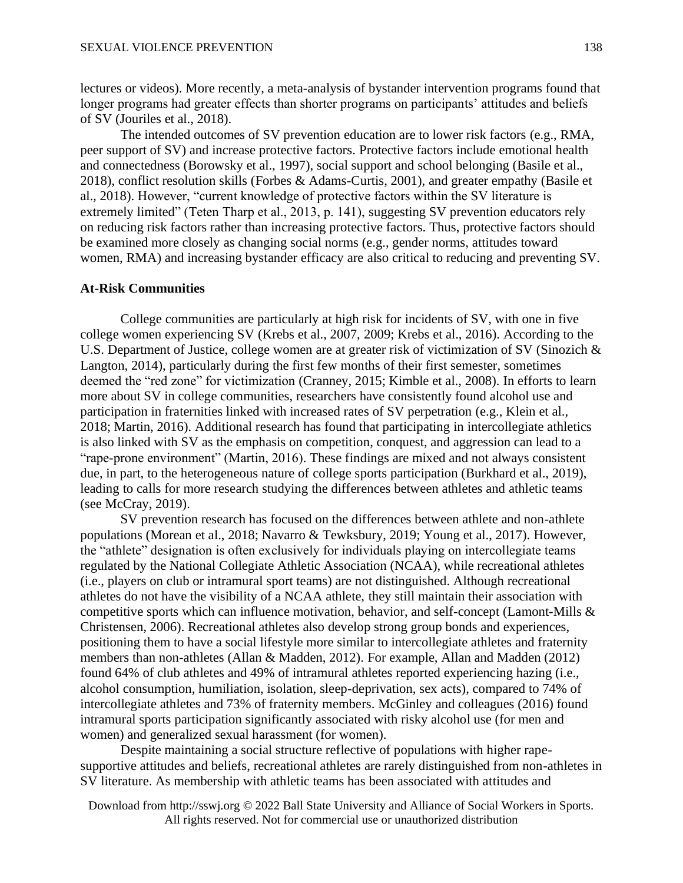lectures or videos). More recently, a meta-analysis of bystander intervention programs found that longer programs had greater effects than shorter programs on participants' attitudes and beliefs of SV (Jouriles et al., 2018).

The intended outcomes of SV prevention education are to lower risk factors (e.g., RMA, peer support of SV) and increase protective factors. Protective factors include emotional health and connectedness (Borowsky et al., 1997), social support and school belonging (Basile et al., 2018), conflict resolution skills (Forbes & Adams-Curtis, 2001), and greater empathy (Basile et al., 2018). However, "current knowledge of protective factors within the SV literature is extremely limited" (Teten Tharp et al., 2013, p. 141), suggesting SV prevention educators rely on reducing risk factors rather than increasing protective factors. Thus, protective factors should be examined more closely as changing social norms (e.g., gender norms, attitudes toward women, RMA) and increasing bystander efficacy are also critical to reducing and preventing SV.

# **At-Risk Communities**

College communities are particularly at high risk for incidents of SV, with one in five college women experiencing SV (Krebs et al., 2007, 2009; Krebs et al., 2016). According to the U.S. Department of Justice, college women are at greater risk of victimization of SV (Sinozich & Langton, 2014), particularly during the first few months of their first semester, sometimes deemed the "red zone" for victimization (Cranney, 2015; Kimble et al., 2008). In efforts to learn more about SV in college communities, researchers have consistently found alcohol use and participation in fraternities linked with increased rates of SV perpetration (e.g., Klein et al., 2018; Martin, 2016). Additional research has found that participating in intercollegiate athletics is also linked with SV as the emphasis on competition, conquest, and aggression can lead to a "rape-prone environment" (Martin, 2016). These findings are mixed and not always consistent due, in part, to the heterogeneous nature of college sports participation (Burkhard et al., 2019), leading to calls for more research studying the differences between athletes and athletic teams (see McCray, 2019).

SV prevention research has focused on the differences between athlete and non-athlete populations (Morean et al., 2018; Navarro & Tewksbury, 2019; Young et al., 2017). However, the "athlete" designation is often exclusively for individuals playing on intercollegiate teams regulated by the National Collegiate Athletic Association (NCAA), while recreational athletes (i.e., players on club or intramural sport teams) are not distinguished. Although recreational athletes do not have the visibility of a NCAA athlete, they still maintain their association with competitive sports which can influence motivation, behavior, and self-concept (Lamont-Mills & Christensen, 2006). Recreational athletes also develop strong group bonds and experiences, positioning them to have a social lifestyle more similar to intercollegiate athletes and fraternity members than non-athletes (Allan & Madden, 2012). For example, Allan and Madden (2012) found 64% of club athletes and 49% of intramural athletes reported experiencing hazing (i.e., alcohol consumption, humiliation, isolation, sleep-deprivation, sex acts), compared to 74% of intercollegiate athletes and 73% of fraternity members. McGinley and colleagues (2016) found intramural sports participation significantly associated with risky alcohol use (for men and women) and generalized sexual harassment (for women).

Despite maintaining a social structure reflective of populations with higher rapesupportive attitudes and beliefs, recreational athletes are rarely distinguished from non-athletes in SV literature. As membership with athletic teams has been associated with attitudes and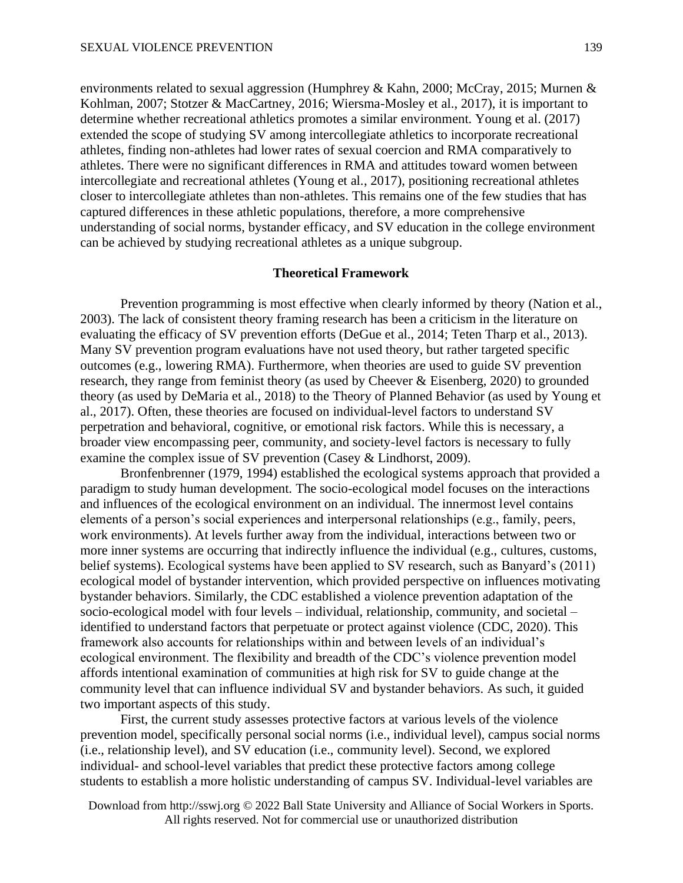environments related to sexual aggression (Humphrey & Kahn, 2000; McCray, 2015; Murnen & Kohlman, 2007; Stotzer & MacCartney, 2016; Wiersma-Mosley et al., 2017), it is important to determine whether recreational athletics promotes a similar environment. Young et al. (2017) extended the scope of studying SV among intercollegiate athletics to incorporate recreational athletes, finding non-athletes had lower rates of sexual coercion and RMA comparatively to athletes. There were no significant differences in RMA and attitudes toward women between intercollegiate and recreational athletes (Young et al., 2017), positioning recreational athletes closer to intercollegiate athletes than non-athletes. This remains one of the few studies that has captured differences in these athletic populations, therefore, a more comprehensive understanding of social norms, bystander efficacy, and SV education in the college environment can be achieved by studying recreational athletes as a unique subgroup.

#### **Theoretical Framework**

Prevention programming is most effective when clearly informed by theory (Nation et al., 2003). The lack of consistent theory framing research has been a criticism in the literature on evaluating the efficacy of SV prevention efforts (DeGue et al., 2014; Teten Tharp et al., 2013). Many SV prevention program evaluations have not used theory, but rather targeted specific outcomes (e.g., lowering RMA). Furthermore, when theories are used to guide SV prevention research, they range from feminist theory (as used by Cheever & Eisenberg, 2020) to grounded theory (as used by DeMaria et al., 2018) to the Theory of Planned Behavior (as used by Young et al., 2017). Often, these theories are focused on individual-level factors to understand SV perpetration and behavioral, cognitive, or emotional risk factors. While this is necessary, a broader view encompassing peer, community, and society-level factors is necessary to fully examine the complex issue of SV prevention (Casey & Lindhorst, 2009).

Bronfenbrenner (1979, 1994) established the ecological systems approach that provided a paradigm to study human development. The socio-ecological model focuses on the interactions and influences of the ecological environment on an individual. The innermost level contains elements of a person's social experiences and interpersonal relationships (e.g., family, peers, work environments). At levels further away from the individual, interactions between two or more inner systems are occurring that indirectly influence the individual (e.g., cultures, customs, belief systems). Ecological systems have been applied to SV research, such as Banyard's (2011) ecological model of bystander intervention, which provided perspective on influences motivating bystander behaviors. Similarly, the CDC established a violence prevention adaptation of the socio-ecological model with four levels – individual, relationship, community, and societal – identified to understand factors that perpetuate or protect against violence (CDC, 2020). This framework also accounts for relationships within and between levels of an individual's ecological environment. The flexibility and breadth of the CDC's violence prevention model affords intentional examination of communities at high risk for SV to guide change at the community level that can influence individual SV and bystander behaviors. As such, it guided two important aspects of this study.

First, the current study assesses protective factors at various levels of the violence prevention model, specifically personal social norms (i.e., individual level), campus social norms (i.e., relationship level), and SV education (i.e., community level). Second, we explored individual- and school-level variables that predict these protective factors among college students to establish a more holistic understanding of campus SV. Individual-level variables are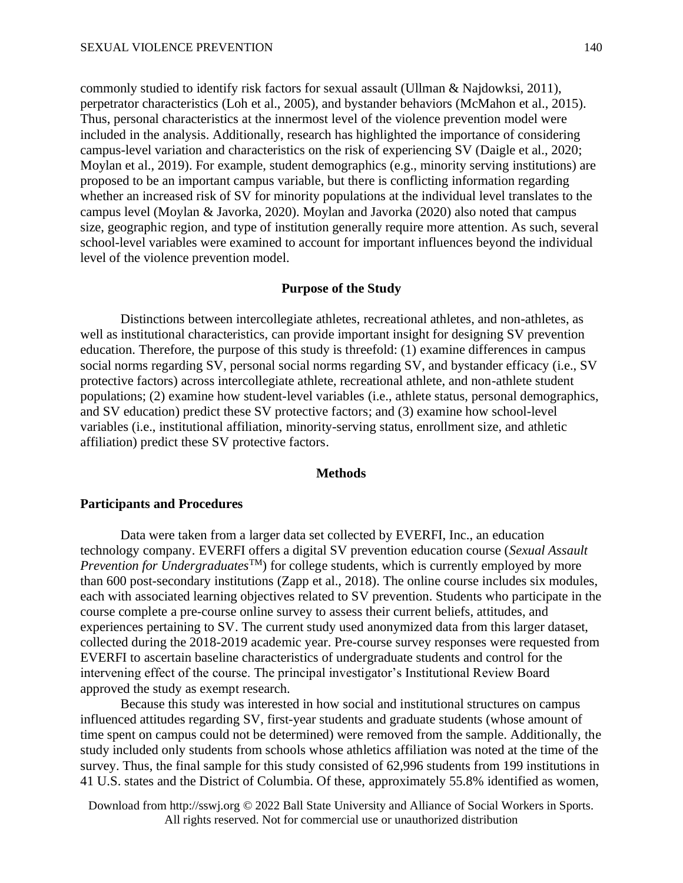commonly studied to identify risk factors for sexual assault (Ullman & Najdowksi, 2011), perpetrator characteristics (Loh et al., 2005), and bystander behaviors (McMahon et al., 2015). Thus, personal characteristics at the innermost level of the violence prevention model were included in the analysis. Additionally, research has highlighted the importance of considering campus-level variation and characteristics on the risk of experiencing SV (Daigle et al., 2020; Moylan et al., 2019). For example, student demographics (e.g., minority serving institutions) are proposed to be an important campus variable, but there is conflicting information regarding whether an increased risk of SV for minority populations at the individual level translates to the campus level (Moylan & Javorka, 2020). Moylan and Javorka (2020) also noted that campus size, geographic region, and type of institution generally require more attention. As such, several school-level variables were examined to account for important influences beyond the individual level of the violence prevention model.

# **Purpose of the Study**

Distinctions between intercollegiate athletes, recreational athletes, and non-athletes, as well as institutional characteristics, can provide important insight for designing SV prevention education. Therefore, the purpose of this study is threefold: (1) examine differences in campus social norms regarding SV, personal social norms regarding SV, and bystander efficacy (i.e., SV protective factors) across intercollegiate athlete, recreational athlete, and non-athlete student populations; (2) examine how student-level variables (i.e., athlete status, personal demographics, and SV education) predict these SV protective factors; and (3) examine how school-level variables (i.e., institutional affiliation, minority-serving status, enrollment size, and athletic affiliation) predict these SV protective factors.

# **Methods**

# **Participants and Procedures**

Data were taken from a larger data set collected by EVERFI, Inc., an education technology company. EVERFI offers a digital SV prevention education course (*Sexual Assault Prevention for Undergraduates*<sup>TM</sup>) for college students, which is currently employed by more than 600 post-secondary institutions (Zapp et al., 2018). The online course includes six modules, each with associated learning objectives related to SV prevention. Students who participate in the course complete a pre-course online survey to assess their current beliefs, attitudes, and experiences pertaining to SV. The current study used anonymized data from this larger dataset, collected during the 2018-2019 academic year. Pre-course survey responses were requested from EVERFI to ascertain baseline characteristics of undergraduate students and control for the intervening effect of the course. The principal investigator's Institutional Review Board approved the study as exempt research.

Because this study was interested in how social and institutional structures on campus influenced attitudes regarding SV, first-year students and graduate students (whose amount of time spent on campus could not be determined) were removed from the sample. Additionally, the study included only students from schools whose athletics affiliation was noted at the time of the survey. Thus, the final sample for this study consisted of 62,996 students from 199 institutions in 41 U.S. states and the District of Columbia. Of these, approximately 55.8% identified as women,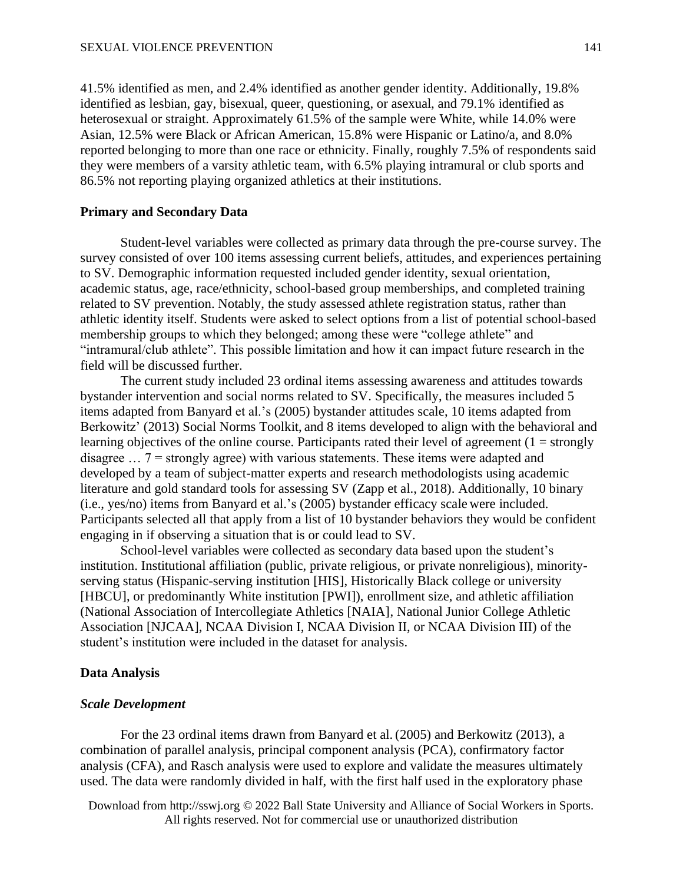41.5% identified as men, and 2.4% identified as another gender identity. Additionally, 19.8% identified as lesbian, gay, bisexual, queer, questioning, or asexual, and 79.1% identified as heterosexual or straight. Approximately 61.5% of the sample were White, while 14.0% were Asian, 12.5% were Black or African American, 15.8% were Hispanic or Latino/a, and 8.0% reported belonging to more than one race or ethnicity. Finally, roughly 7.5% of respondents said they were members of a varsity athletic team, with 6.5% playing intramural or club sports and 86.5% not reporting playing organized athletics at their institutions.

# **Primary and Secondary Data**

Student-level variables were collected as primary data through the pre-course survey. The survey consisted of over 100 items assessing current beliefs, attitudes, and experiences pertaining to SV. Demographic information requested included gender identity, sexual orientation, academic status, age, race/ethnicity, school-based group memberships, and completed training related to SV prevention. Notably, the study assessed athlete registration status, rather than athletic identity itself. Students were asked to select options from a list of potential school-based membership groups to which they belonged; among these were "college athlete" and "intramural/club athlete". This possible limitation and how it can impact future research in the field will be discussed further.

The current study included 23 ordinal items assessing awareness and attitudes towards bystander intervention and social norms related to SV. Specifically, the measures included 5 items adapted from Banyard et al.'s (2005) bystander attitudes scale, 10 items adapted from Berkowitz' (2013) Social Norms Toolkit, and 8 items developed to align with the behavioral and learning objectives of the online course. Participants rated their level of agreement  $(1 = \text{strongly})$ disagree  $\ldots$  7 = strongly agree) with various statements. These items were adapted and developed by a team of subject-matter experts and research methodologists using academic literature and gold standard tools for assessing SV (Zapp et al., 2018). Additionally, 10 binary (i.e., yes/no) items from Banyard et al.'s (2005) bystander efficacy scale were included. Participants selected all that apply from a list of 10 bystander behaviors they would be confident engaging in if observing a situation that is or could lead to SV.

School-level variables were collected as secondary data based upon the student's institution. Institutional affiliation (public, private religious, or private nonreligious), minorityserving status (Hispanic-serving institution [HIS], Historically Black college or university [HBCU], or predominantly White institution [PWI]), enrollment size, and athletic affiliation (National Association of Intercollegiate Athletics [NAIA], National Junior College Athletic Association [NJCAA], NCAA Division I, NCAA Division II, or NCAA Division III) of the student's institution were included in the dataset for analysis.

#### **Data Analysis**

#### *Scale Development*

For the 23 ordinal items drawn from Banyard et al. (2005) and Berkowitz (2013), a combination of parallel analysis, principal component analysis (PCA), confirmatory factor analysis (CFA), and Rasch analysis were used to explore and validate the measures ultimately used. The data were randomly divided in half, with the first half used in the exploratory phase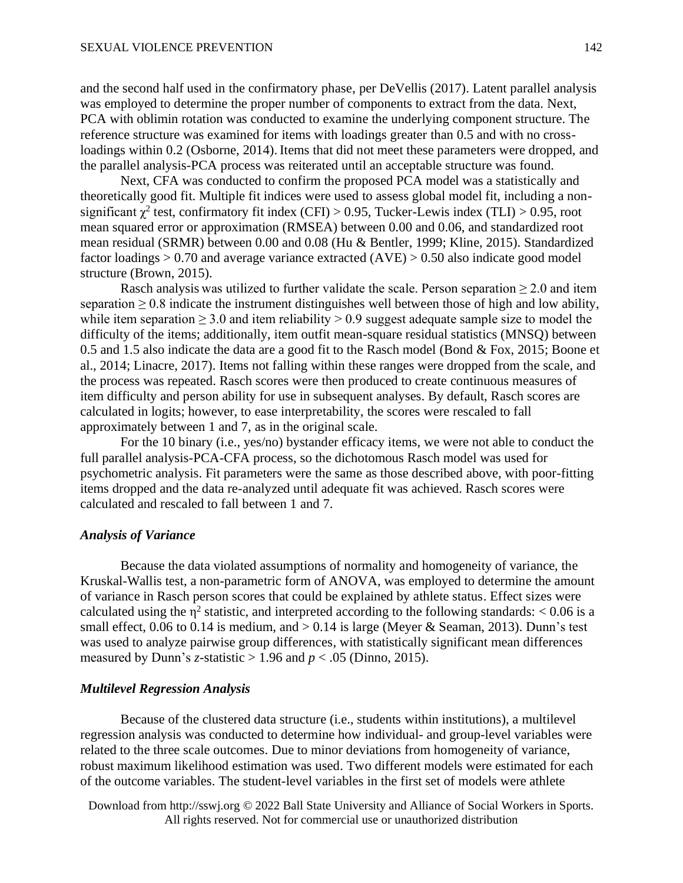and the second half used in the confirmatory phase, per DeVellis (2017). Latent parallel analysis was employed to determine the proper number of components to extract from the data. Next, PCA with oblimin rotation was conducted to examine the underlying component structure. The reference structure was examined for items with loadings greater than 0.5 and with no crossloadings within 0.2 (Osborne, 2014). Items that did not meet these parameters were dropped, and the parallel analysis-PCA process was reiterated until an acceptable structure was found.

Next, CFA was conducted to confirm the proposed PCA model was a statistically and theoretically good fit. Multiple fit indices were used to assess global model fit, including a nonsignificant  $\chi^2$  test, confirmatory fit index (CFI) > 0.95, Tucker-Lewis index (TLI) > 0.95, root mean squared error or approximation (RMSEA) between 0.00 and 0.06, and standardized root mean residual (SRMR) between 0.00 and 0.08 (Hu & Bentler, 1999; Kline, 2015). Standardized factor loadings  $> 0.70$  and average variance extracted  $(AVE) > 0.50$  also indicate good model structure (Brown, 2015).

Rasch analysis was utilized to further validate the scale. Person separation  $\geq 2.0$  and item separation  $\geq 0.8$  indicate the instrument distinguishes well between those of high and low ability, while item separation  $\geq 3.0$  and item reliability  $> 0.9$  suggest adequate sample size to model the difficulty of the items; additionally, item outfit mean-square residual statistics (MNSQ) between 0.5 and 1.5 also indicate the data are a good fit to the Rasch model (Bond & Fox, 2015; Boone et al., 2014; Linacre, 2017). Items not falling within these ranges were dropped from the scale, and the process was repeated. Rasch scores were then produced to create continuous measures of item difficulty and person ability for use in subsequent analyses. By default, Rasch scores are calculated in logits; however, to ease interpretability, the scores were rescaled to fall approximately between 1 and 7, as in the original scale.

For the 10 binary (i.e., yes/no) bystander efficacy items, we were not able to conduct the full parallel analysis-PCA-CFA process, so the dichotomous Rasch model was used for psychometric analysis. Fit parameters were the same as those described above, with poor-fitting items dropped and the data re-analyzed until adequate fit was achieved. Rasch scores were calculated and rescaled to fall between 1 and 7.

# *Analysis of Variance*

Because the data violated assumptions of normality and homogeneity of variance, the Kruskal-Wallis test, a non-parametric form of ANOVA, was employed to determine the amount of variance in Rasch person scores that could be explained by athlete status. Effect sizes were calculated using the  $\eta^2$  statistic, and interpreted according to the following standards: < 0.06 is a small effect, 0.06 to 0.14 is medium, and  $> 0.14$  is large (Meyer & Seaman, 2013). Dunn's test was used to analyze pairwise group differences, with statistically significant mean differences measured by Dunn's *z*-statistic  $> 1.96$  and  $p < .05$  (Dinno, 2015).

# *Multilevel Regression Analysis*

Because of the clustered data structure (i.e., students within institutions), a multilevel regression analysis was conducted to determine how individual- and group-level variables were related to the three scale outcomes. Due to minor deviations from homogeneity of variance, robust maximum likelihood estimation was used. Two different models were estimated for each of the outcome variables. The student-level variables in the first set of models were athlete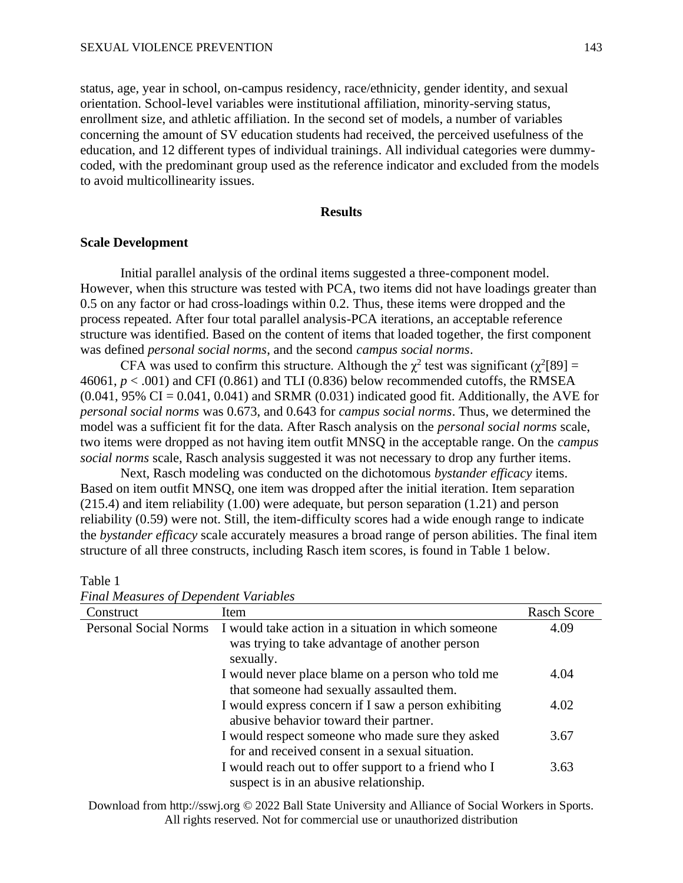status, age, year in school, on-campus residency, race/ethnicity, gender identity, and sexual orientation. School-level variables were institutional affiliation, minority-serving status, enrollment size, and athletic affiliation. In the second set of models, a number of variables concerning the amount of SV education students had received, the perceived usefulness of the education, and 12 different types of individual trainings. All individual categories were dummycoded, with the predominant group used as the reference indicator and excluded from the models to avoid multicollinearity issues.

# **Results**

# **Scale Development**

Initial parallel analysis of the ordinal items suggested a three-component model. However, when this structure was tested with PCA, two items did not have loadings greater than 0.5 on any factor or had cross-loadings within 0.2. Thus, these items were dropped and the process repeated. After four total parallel analysis-PCA iterations, an acceptable reference structure was identified. Based on the content of items that loaded together, the first component was defined *personal social norms*, and the second *campus social norms*.

CFA was used to confirm this structure. Although the  $\chi^2$  test was significant ( $\chi^2$ [89] =  $46061, p < .001$  and CFI (0.861) and TLI (0.836) below recommended cutoffs, the RMSEA  $(0.041, 95\% \text{ CI} = 0.041, 0.041)$  and SRMR  $(0.031)$  indicated good fit. Additionally, the AVE for *personal social norms* was 0.673, and 0.643 for *campus social norms*. Thus, we determined the model was a sufficient fit for the data. After Rasch analysis on the *personal social norms* scale, two items were dropped as not having item outfit MNSQ in the acceptable range. On the *campus social norms* scale, Rasch analysis suggested it was not necessary to drop any further items.

Next, Rasch modeling was conducted on the dichotomous *bystander efficacy* items. Based on item outfit MNSQ, one item was dropped after the initial iteration. Item separation (215.4) and item reliability (1.00) were adequate, but person separation (1.21) and person reliability (0.59) were not. Still, the item-difficulty scores had a wide enough range to indicate the *bystander efficacy* scale accurately measures a broad range of person abilities. The final item structure of all three constructs, including Rasch item scores, is found in Table 1 below.

| Construct                    | Item                                                                                                               | <b>Rasch Score</b> |
|------------------------------|--------------------------------------------------------------------------------------------------------------------|--------------------|
| <b>Personal Social Norms</b> | I would take action in a situation in which someone<br>was trying to take advantage of another person<br>sexually. | 4.09               |
|                              | I would never place blame on a person who told me<br>that someone had sexually assaulted them.                     | 4.04               |
|                              | I would express concern if I saw a person exhibiting<br>abusive behavior toward their partner.                     | 4.02               |
|                              | I would respect someone who made sure they asked<br>for and received consent in a sexual situation.                | 3.67               |
|                              | I would reach out to offer support to a friend who I<br>suspect is in an abusive relationship.                     | 3.63               |

*Final Measures of Dependent Variables*

Table 1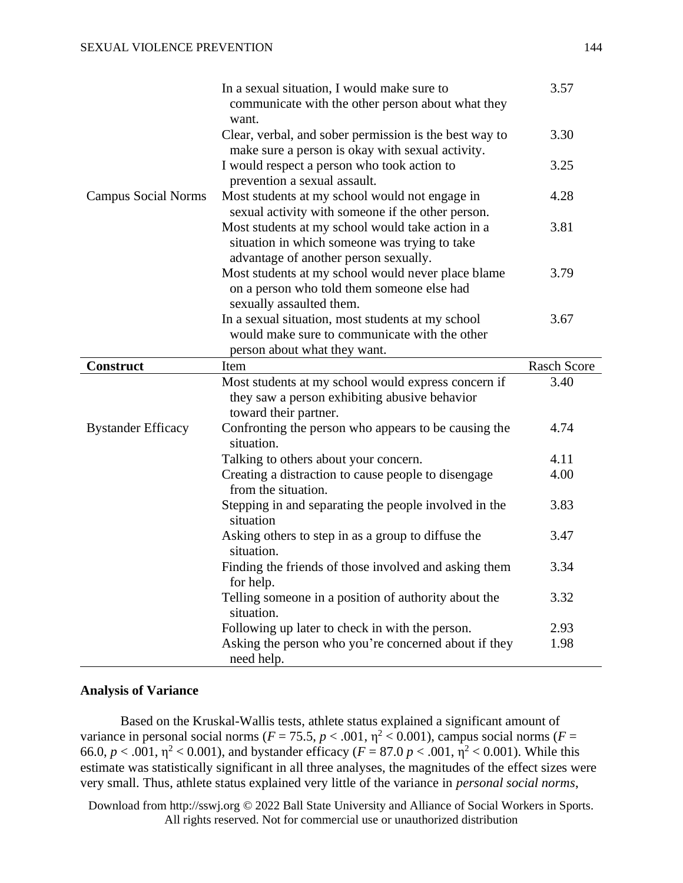|                            | In a sexual situation, I would make sure to<br>communicate with the other person about what they<br>want.                                   | 3.57               |
|----------------------------|---------------------------------------------------------------------------------------------------------------------------------------------|--------------------|
|                            | Clear, verbal, and sober permission is the best way to<br>make sure a person is okay with sexual activity.                                  | 3.30               |
|                            | I would respect a person who took action to<br>prevention a sexual assault.                                                                 | 3.25               |
| <b>Campus Social Norms</b> | Most students at my school would not engage in<br>sexual activity with someone if the other person.                                         | 4.28               |
|                            | Most students at my school would take action in a<br>situation in which someone was trying to take<br>advantage of another person sexually. | 3.81               |
|                            | Most students at my school would never place blame<br>on a person who told them someone else had<br>sexually assaulted them.                | 3.79               |
|                            | In a sexual situation, most students at my school                                                                                           | 3.67               |
|                            | would make sure to communicate with the other                                                                                               |                    |
|                            | person about what they want.                                                                                                                |                    |
| <b>Construct</b>           | Item                                                                                                                                        | <b>Rasch Score</b> |
|                            |                                                                                                                                             |                    |
|                            | Most students at my school would express concern if<br>they saw a person exhibiting abusive behavior                                        | 3.40               |
| <b>Bystander Efficacy</b>  | toward their partner.<br>Confronting the person who appears to be causing the<br>situation.                                                 | 4.74               |
|                            |                                                                                                                                             | 4.11               |
|                            | Talking to others about your concern.<br>Creating a distraction to cause people to disengage<br>from the situation.                         | 4.00               |
|                            | Stepping in and separating the people involved in the<br>situation                                                                          | 3.83               |
|                            | Asking others to step in as a group to diffuse the<br>situation.                                                                            | 3.47               |
|                            | Finding the friends of those involved and asking them<br>for help.                                                                          | 3.34               |
|                            | Telling someone in a position of authority about the<br>situation.                                                                          | 3.32               |
|                            | Following up later to check in with the person.                                                                                             | 2.93               |

## **Analysis of Variance**

Based on the Kruskal-Wallis tests, athlete status explained a significant amount of variance in personal social norms ( $F = 75.5$ ,  $p < .001$ ,  $\eta^2 < 0.001$ ), campus social norms ( $F =$ 66.0,  $p < .001$ ,  $\eta^2 < 0.001$ ), and bystander efficacy ( $F = 87.0$   $p < .001$ ,  $\eta^2 < 0.001$ ). While this estimate was statistically significant in all three analyses, the magnitudes of the effect sizes were very small. Thus, athlete status explained very little of the variance in *personal social norms*,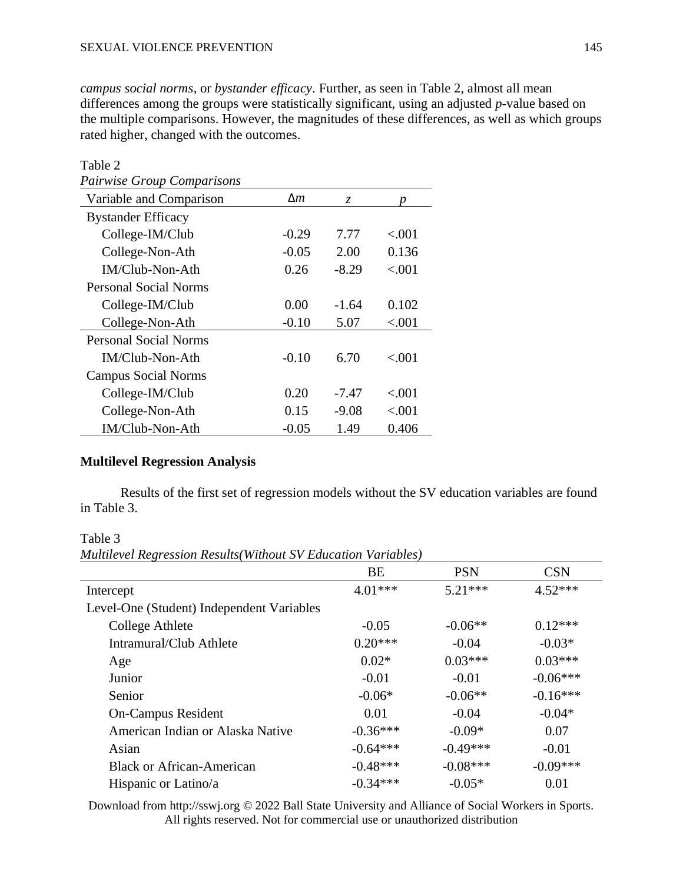*campus social norms*, or *bystander efficacy*. Further, as seen in Table 2, almost all mean differences among the groups were statistically significant, using an adjusted *p*-value based on the multiple comparisons. However, the magnitudes of these differences, as well as which groups rated higher, changed with the outcomes.

| Table 2                           |         |         |          |
|-----------------------------------|---------|---------|----------|
| <b>Pairwise Group Comparisons</b> |         |         |          |
| Variable and Comparison           | Δm      | Z.      |          |
| <b>Bystander Efficacy</b>         |         |         |          |
| College-IM/Club                   | $-0.29$ | 7.77    | ${<}001$ |
| College-Non-Ath                   | $-0.05$ | 2.00    | 0.136    |
| IM/Club-Non-Ath                   | 0.26    | $-8.29$ | ${<}001$ |
| <b>Personal Social Norms</b>      |         |         |          |
| College-IM/Club                   | 0.00    | $-1.64$ | 0.102    |
| College-Non-Ath                   | $-0.10$ | 5.07    | ${<}001$ |
| <b>Personal Social Norms</b>      |         |         |          |
| IM/Club-Non-Ath                   | $-0.10$ | 6.70    | < 0.01   |
| <b>Campus Social Norms</b>        |         |         |          |
| College-IM/Club                   | 0.20    | -7.47   | ${<}001$ |
| College-Non-Ath                   | 0.15    | $-9.08$ | ${<}001$ |
| IM/Club-Non-Ath                   | $-0.05$ | 1.49    | 0.406    |

# **Multilevel Regression Analysis**

Results of the first set of regression models without the SV education variables are found in Table 3.

Table 3

*Multilevel Regression Results(Without SV Education Variables)*

|                                           | <b>BE</b>  | <b>PSN</b> | <b>CSN</b> |
|-------------------------------------------|------------|------------|------------|
| Intercept                                 | $4.01***$  | $5.21***$  | $4.52***$  |
| Level-One (Student) Independent Variables |            |            |            |
| College Athlete                           | $-0.05$    | $-0.06**$  | $0.12***$  |
| Intramural/Club Athlete                   | $0.20***$  | $-0.04$    | $-0.03*$   |
| Age                                       | $0.02*$    | $0.03***$  | $0.03***$  |
| Junior                                    | $-0.01$    | $-0.01$    | $-0.06***$ |
| Senior                                    | $-0.06*$   | $-0.06**$  | $-0.16***$ |
| <b>On-Campus Resident</b>                 | 0.01       | $-0.04$    | $-0.04*$   |
| American Indian or Alaska Native          | $-0.36***$ | $-0.09*$   | 0.07       |
| Asian                                     | $-0.64***$ | $-0.49***$ | $-0.01$    |
| <b>Black or African-American</b>          | $-0.48***$ | $-0.08***$ | $-0.09***$ |
| Hispanic or Latino/a                      | $-0.34***$ | $-0.05*$   | 0.01       |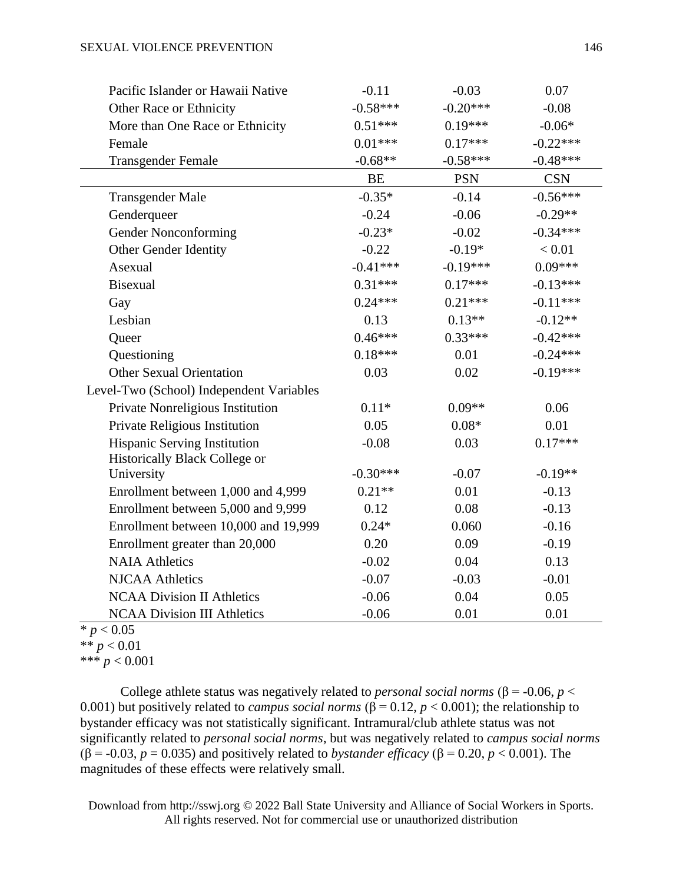| Pacific Islander or Hawaii Native        | $-0.11$    | $-0.03$    | 0.07       |
|------------------------------------------|------------|------------|------------|
| Other Race or Ethnicity                  | $-0.58***$ | $-0.20***$ | $-0.08$    |
| More than One Race or Ethnicity          | $0.51***$  | $0.19***$  | $-0.06*$   |
| Female                                   | $0.01***$  | $0.17***$  | $-0.22***$ |
| <b>Transgender Female</b>                | $-0.68**$  | $-0.58***$ | $-0.48***$ |
|                                          | BE         | <b>PSN</b> | <b>CSN</b> |
| <b>Transgender Male</b>                  | $-0.35*$   | $-0.14$    | $-0.56***$ |
| Genderqueer                              | $-0.24$    | $-0.06$    | $-0.29**$  |
| Gender Nonconforming                     | $-0.23*$   | $-0.02$    | $-0.34***$ |
| Other Gender Identity                    | $-0.22$    | $-0.19*$   | < 0.01     |
| Asexual                                  | $-0.41***$ | $-0.19***$ | $0.09***$  |
| <b>Bisexual</b>                          | $0.31***$  | $0.17***$  | $-0.13***$ |
| Gay                                      | $0.24***$  | $0.21***$  | $-0.11***$ |
| Lesbian                                  | 0.13       | $0.13**$   | $-0.12**$  |
| Queer                                    | $0.46***$  | $0.33***$  | $-0.42***$ |
| Questioning                              | $0.18***$  | 0.01       | $-0.24***$ |
| <b>Other Sexual Orientation</b>          | 0.03       | 0.02       | $-0.19***$ |
| Level-Two (School) Independent Variables |            |            |            |
| Private Nonreligious Institution         | $0.11*$    | $0.09**$   | 0.06       |
| Private Religious Institution            | 0.05       | $0.08*$    | 0.01       |
| Hispanic Serving Institution             | $-0.08$    | 0.03       | $0.17***$  |
| Historically Black College or            |            |            |            |
| University                               | $-0.30***$ | $-0.07$    | $-0.19**$  |
| Enrollment between 1,000 and 4,999       | $0.21**$   | 0.01       | $-0.13$    |
| Enrollment between 5,000 and 9,999       | 0.12       | 0.08       | $-0.13$    |
| Enrollment between 10,000 and 19,999     | $0.24*$    | 0.060      | $-0.16$    |
| Enrollment greater than 20,000           | 0.20       | 0.09       | $-0.19$    |
| <b>NAIA Athletics</b>                    | $-0.02$    | 0.04       | 0.13       |
| <b>NJCAA Athletics</b>                   | $-0.07$    | $-0.03$    | $-0.01$    |
| <b>NCAA Division II Athletics</b>        | $-0.06$    | 0.04       | 0.05       |
| <b>NCAA Division III Athletics</b>       | $-0.06$    | 0.01       | 0.01       |

# $* p < 0.05$ \*\* *p* < 0.01

\*\*\* *p* < 0.001

College athlete status was negatively related to *personal social norms* ( $\beta$  = -0.06, *p* < 0.001) but positively related to *campus social norms* ( $\beta$  = 0.12, *p* < 0.001); the relationship to bystander efficacy was not statistically significant. Intramural/club athlete status was not significantly related to *personal social norms*, but was negatively related to *campus social norms* (β = -0.03, *p* = 0.035) and positively related to *bystander efficacy* (β = 0.20, *p* < 0.001). The magnitudes of these effects were relatively small.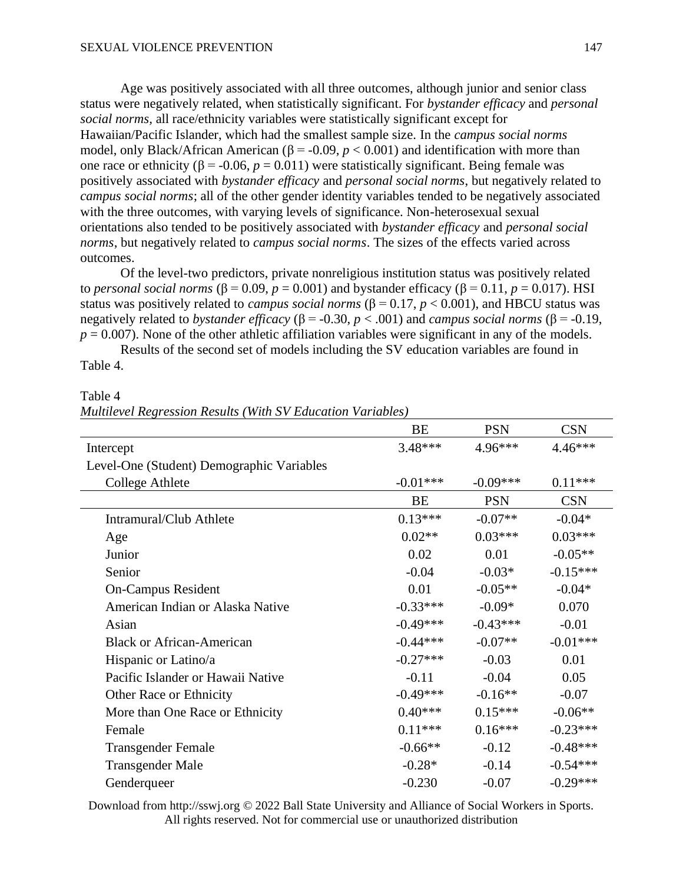Age was positively associated with all three outcomes, although junior and senior class status were negatively related, when statistically significant. For *bystander efficacy* and *personal social norms,* all race/ethnicity variables were statistically significant except for Hawaiian/Pacific Islander, which had the smallest sample size. In the *campus social norms* model, only Black/African American ( $\beta$  = -0.09, *p* < 0.001) and identification with more than one race or ethnicity ( $β = -0.06$ ,  $p = 0.011$ ) were statistically significant. Being female was positively associated with *bystander efficacy* and *personal social norms*, but negatively related to *campus social norms*; all of the other gender identity variables tended to be negatively associated with the three outcomes, with varying levels of significance. Non-heterosexual sexual orientations also tended to be positively associated with *bystander efficacy* and *personal social norms*, but negatively related to *campus social norms*. The sizes of the effects varied across outcomes.

Of the level-two predictors, private nonreligious institution status was positively related to *personal social norms* (β = 0.09,  $p = 0.001$ ) and bystander efficacy (β = 0.11,  $p = 0.017$ ). HSI status was positively related to *campus social norms*  $(\beta = 0.17, p < 0.001)$ , and HBCU status was negatively related to *bystander efficacy* ( $\beta$  = -0.30, *p* < .001) and *campus social norms* ( $\beta$  = -0.19,  $p = 0.007$ ). None of the other athletic affiliation variables were significant in any of the models.

Results of the second set of models including the SV education variables are found in Table 4.

Table 4

*Multilevel Regression Results (With SV Education Variables)*

|                                           | BE         | <b>PSN</b> | <b>CSN</b> |
|-------------------------------------------|------------|------------|------------|
| Intercept                                 | $3.48***$  | 4.96***    | $4.46***$  |
| Level-One (Student) Demographic Variables |            |            |            |
| <b>College Athlete</b>                    | $-0.01***$ | $-0.09***$ | $0.11***$  |
|                                           | <b>BE</b>  | <b>PSN</b> | <b>CSN</b> |
| Intramural/Club Athlete                   | $0.13***$  | $-0.07**$  | $-0.04*$   |
| Age                                       | $0.02**$   | $0.03***$  | $0.03***$  |
| Junior                                    | 0.02       | 0.01       | $-0.05**$  |
| Senior                                    | $-0.04$    | $-0.03*$   | $-0.15***$ |
| <b>On-Campus Resident</b>                 | 0.01       | $-0.05**$  | $-0.04*$   |
| American Indian or Alaska Native          | $-0.33***$ | $-0.09*$   | 0.070      |
| Asian                                     | $-0.49***$ | $-0.43***$ | $-0.01$    |
| <b>Black or African-American</b>          | $-0.44***$ | $-0.07**$  | $-0.01***$ |
| Hispanic or Latino/a                      | $-0.27***$ | $-0.03$    | 0.01       |
| Pacific Islander or Hawaii Native         | $-0.11$    | $-0.04$    | 0.05       |
| Other Race or Ethnicity                   | $-0.49***$ | $-0.16**$  | $-0.07$    |
| More than One Race or Ethnicity           | $0.40***$  | $0.15***$  | $-0.06**$  |
| Female                                    | $0.11***$  | $0.16***$  | $-0.23***$ |
| <b>Transgender Female</b>                 | $-0.66**$  | $-0.12$    | $-0.48***$ |
| <b>Transgender Male</b>                   | $-0.28*$   | $-0.14$    | $-0.54***$ |
| Genderqueer                               | $-0.230$   | $-0.07$    | $-0.29***$ |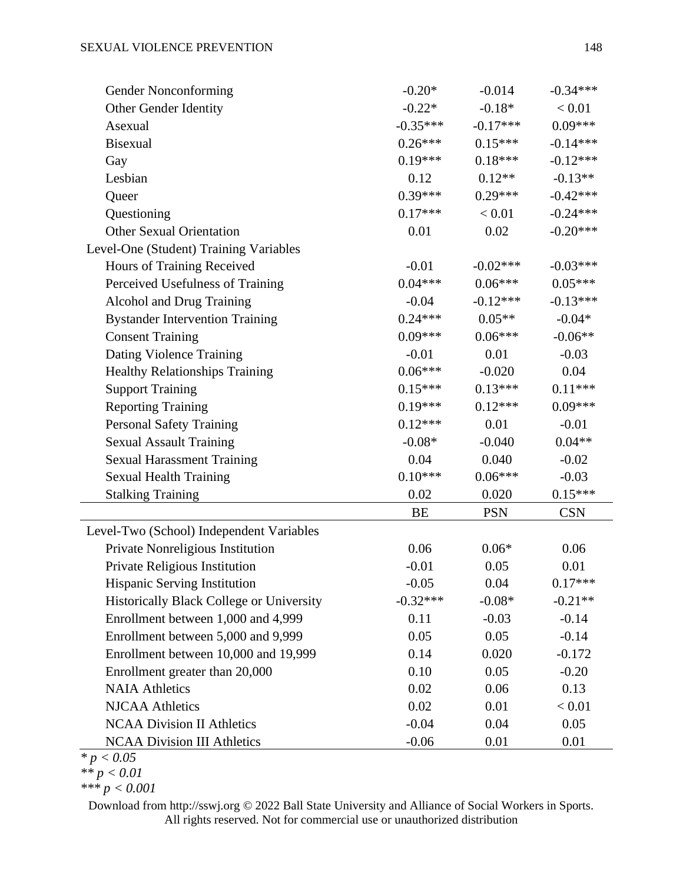| Gender Nonconforming                     | $-0.20*$   | $-0.014$   | $-0.34***$ |
|------------------------------------------|------------|------------|------------|
| Other Gender Identity                    | $-0.22*$   | $-0.18*$   | < 0.01     |
| Asexual                                  | $-0.35***$ | $-0.17***$ | $0.09***$  |
| <b>Bisexual</b>                          | $0.26***$  | $0.15***$  | $-0.14***$ |
| Gay                                      | $0.19***$  | $0.18***$  | $-0.12***$ |
| Lesbian                                  | 0.12       | $0.12**$   | $-0.13**$  |
| Queer                                    | $0.39***$  | $0.29***$  | $-0.42***$ |
| Questioning                              | $0.17***$  | < 0.01     | $-0.24***$ |
| <b>Other Sexual Orientation</b>          | 0.01       | 0.02       | $-0.20***$ |
| Level-One (Student) Training Variables   |            |            |            |
| Hours of Training Received               | $-0.01$    | $-0.02***$ | $-0.03***$ |
| Perceived Usefulness of Training         | $0.04***$  | $0.06***$  | $0.05***$  |
| Alcohol and Drug Training                | $-0.04$    | $-0.12***$ | $-0.13***$ |
| <b>Bystander Intervention Training</b>   | $0.24***$  | $0.05**$   | $-0.04*$   |
| <b>Consent Training</b>                  | $0.09***$  | $0.06***$  | $-0.06**$  |
| Dating Violence Training                 | $-0.01$    | 0.01       | $-0.03$    |
| <b>Healthy Relationships Training</b>    | $0.06***$  | $-0.020$   | 0.04       |
| <b>Support Training</b>                  | $0.15***$  | $0.13***$  | $0.11***$  |
| <b>Reporting Training</b>                | $0.19***$  | $0.12***$  | $0.09***$  |
| <b>Personal Safety Training</b>          | $0.12***$  | 0.01       | $-0.01$    |
| <b>Sexual Assault Training</b>           | $-0.08*$   | $-0.040$   | $0.04**$   |
| <b>Sexual Harassment Training</b>        | 0.04       | 0.040      | $-0.02$    |
| <b>Sexual Health Training</b>            | $0.10***$  | $0.06***$  | $-0.03$    |
| <b>Stalking Training</b>                 | 0.02       | 0.020      | $0.15***$  |
|                                          | <b>BE</b>  | <b>PSN</b> | <b>CSN</b> |
| Level-Two (School) Independent Variables |            |            |            |
| Private Nonreligious Institution         | 0.06       | $0.06*$    | 0.06       |
| Private Religious Institution            | $-0.01$    | 0.05       | 0.01       |
| <b>Hispanic Serving Institution</b>      | $-0.05$    | 0.04       | $0.17***$  |
| Historically Black College or University | $-0.32***$ | $-0.08*$   | $-0.21**$  |
| Enrollment between 1,000 and 4,999       | 0.11       | $-0.03$    | $-0.14$    |
| Enrollment between 5,000 and 9,999       | 0.05       | 0.05       | $-0.14$    |
| Enrollment between 10,000 and 19,999     | 0.14       | 0.020      | $-0.172$   |
| Enrollment greater than 20,000           | 0.10       | 0.05       | $-0.20$    |
| <b>NAIA Athletics</b>                    | 0.02       | 0.06       | 0.13       |
| <b>NJCAA Athletics</b>                   | 0.02       | 0.01       | < 0.01     |
| <b>NCAA Division II Athletics</b>        | $-0.04$    | 0.04       | 0.05       |
| <b>NCAA Division III Athletics</b>       | $-0.06$    | 0.01       | 0.01       |

*\* p < 0.05*

*<sup>\*\*</sup> p < 0.01*

*<sup>\*\*\*</sup> p < 0.001*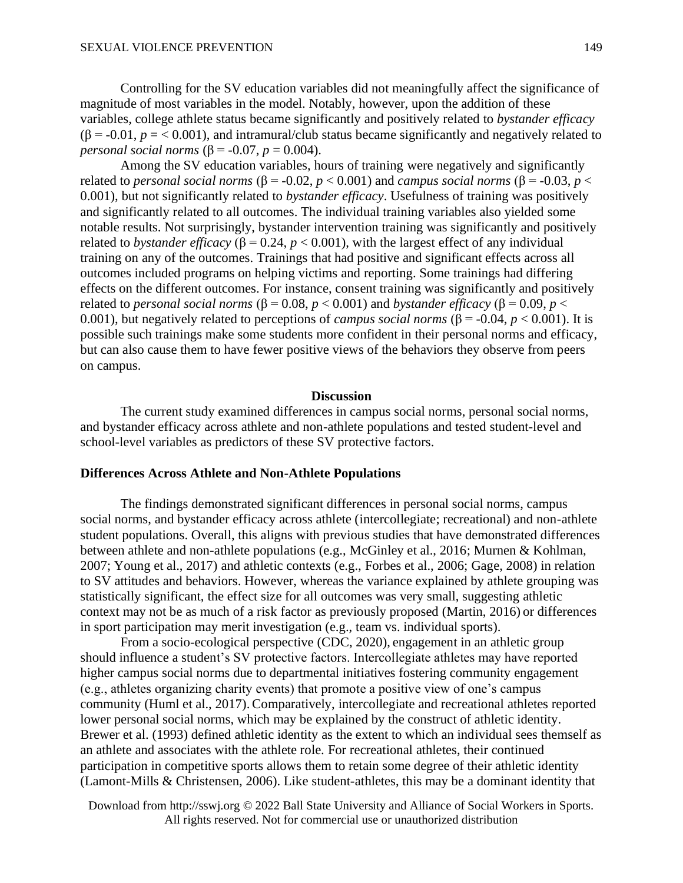Controlling for the SV education variables did not meaningfully affect the significance of magnitude of most variables in the model. Notably, however, upon the addition of these variables, college athlete status became significantly and positively related to *bystander efficacy*  $(\beta = -0.01, p = < 0.001)$ , and intramural/club status became significantly and negatively related to *personal social norms* ( $\beta$  = -0.07, *p* = 0.004).

Among the SV education variables, hours of training were negatively and significantly related to *personal social norms* (β = -0.02, *p* < 0.001) and *campus social norms* (β = -0.03, *p* < 0.001), but not significantly related to *bystander efficacy*. Usefulness of training was positively and significantly related to all outcomes. The individual training variables also yielded some notable results. Not surprisingly, bystander intervention training was significantly and positively related to *bystander efficacy* (β = 0.24,  $p$  < 0.001), with the largest effect of any individual training on any of the outcomes. Trainings that had positive and significant effects across all outcomes included programs on helping victims and reporting. Some trainings had differing effects on the different outcomes. For instance, consent training was significantly and positively related to *personal social norms* (β = 0.08, *p* < 0.001) and *bystander efficacy* (β = 0.09, *p* < 0.001), but negatively related to perceptions of *campus social norms* ( $\beta$  = -0.04, *p* < 0.001). It is possible such trainings make some students more confident in their personal norms and efficacy, but can also cause them to have fewer positive views of the behaviors they observe from peers on campus.

#### **Discussion**

The current study examined differences in campus social norms, personal social norms, and bystander efficacy across athlete and non-athlete populations and tested student-level and school-level variables as predictors of these SV protective factors.

# **Differences Across Athlete and Non-Athlete Populations**

The findings demonstrated significant differences in personal social norms, campus social norms, and bystander efficacy across athlete (intercollegiate; recreational) and non-athlete student populations. Overall, this aligns with previous studies that have demonstrated differences between athlete and non-athlete populations (e.g., McGinley et al., 2016; Murnen & Kohlman, 2007; Young et al., 2017) and athletic contexts (e.g., Forbes et al., 2006; Gage, 2008) in relation to SV attitudes and behaviors. However, whereas the variance explained by athlete grouping was statistically significant, the effect size for all outcomes was very small, suggesting athletic context may not be as much of a risk factor as previously proposed (Martin, 2016) or differences in sport participation may merit investigation (e.g., team vs. individual sports).

 From a socio-ecological perspective (CDC, 2020), engagement in an athletic group should influence a student's SV protective factors. Intercollegiate athletes may have reported higher campus social norms due to departmental initiatives fostering community engagement (e.g., athletes organizing charity events) that promote a positive view of one's campus community (Huml et al., 2017).Comparatively, intercollegiate and recreational athletes reported lower personal social norms, which may be explained by the construct of athletic identity. Brewer et al. (1993) defined athletic identity as the extent to which an individual sees themself as an athlete and associates with the athlete role. For recreational athletes, their continued participation in competitive sports allows them to retain some degree of their athletic identity (Lamont-Mills & Christensen, 2006). Like student-athletes, this may be a dominant identity that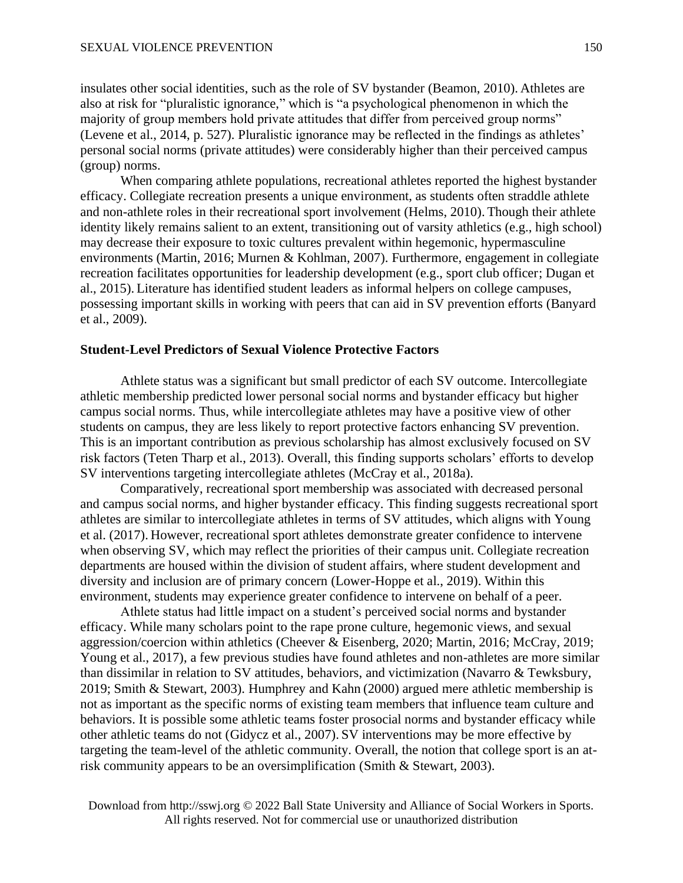insulates other social identities, such as the role of SV bystander (Beamon, 2010). Athletes are also at risk for "pluralistic ignorance," which is "a psychological phenomenon in which the majority of group members hold private attitudes that differ from perceived group norms" (Levene et al., 2014, p. 527). Pluralistic ignorance may be reflected in the findings as athletes' personal social norms (private attitudes) were considerably higher than their perceived campus (group) norms.

When comparing athlete populations, recreational athletes reported the highest bystander efficacy. Collegiate recreation presents a unique environment, as students often straddle athlete and non-athlete roles in their recreational sport involvement (Helms, 2010). Though their athlete identity likely remains salient to an extent, transitioning out of varsity athletics (e.g., high school) may decrease their exposure to toxic cultures prevalent within hegemonic, hypermasculine environments (Martin, 2016; Murnen & Kohlman, 2007). Furthermore, engagement in collegiate recreation facilitates opportunities for leadership development (e.g., sport club officer; Dugan et al., 2015). Literature has identified student leaders as informal helpers on college campuses, possessing important skills in working with peers that can aid in SV prevention efforts (Banyard et al., 2009).

# **Student-Level Predictors of Sexual Violence Protective Factors**

Athlete status was a significant but small predictor of each SV outcome. Intercollegiate athletic membership predicted lower personal social norms and bystander efficacy but higher campus social norms. Thus, while intercollegiate athletes may have a positive view of other students on campus, they are less likely to report protective factors enhancing SV prevention. This is an important contribution as previous scholarship has almost exclusively focused on SV risk factors (Teten Tharp et al., 2013). Overall, this finding supports scholars' efforts to develop SV interventions targeting intercollegiate athletes (McCray et al., 2018a).

Comparatively, recreational sport membership was associated with decreased personal and campus social norms, and higher bystander efficacy. This finding suggests recreational sport athletes are similar to intercollegiate athletes in terms of SV attitudes, which aligns with Young et al. (2017). However, recreational sport athletes demonstrate greater confidence to intervene when observing SV, which may reflect the priorities of their campus unit. Collegiate recreation departments are housed within the division of student affairs, where student development and diversity and inclusion are of primary concern (Lower-Hoppe et al., 2019). Within this environment, students may experience greater confidence to intervene on behalf of a peer.

Athlete status had little impact on a student's perceived social norms and bystander efficacy. While many scholars point to the rape prone culture, hegemonic views, and sexual aggression/coercion within athletics (Cheever & Eisenberg, 2020; Martin, 2016; McCray, 2019; Young et al., 2017), a few previous studies have found athletes and non-athletes are more similar than dissimilar in relation to SV attitudes, behaviors, and victimization (Navarro & Tewksbury, 2019; Smith & Stewart, 2003). Humphrey and Kahn (2000) argued mere athletic membership is not as important as the specific norms of existing team members that influence team culture and behaviors. It is possible some athletic teams foster prosocial norms and bystander efficacy while other athletic teams do not (Gidycz et al., 2007). SV interventions may be more effective by targeting the team-level of the athletic community. Overall, the notion that college sport is an atrisk community appears to be an oversimplification (Smith & Stewart, 2003).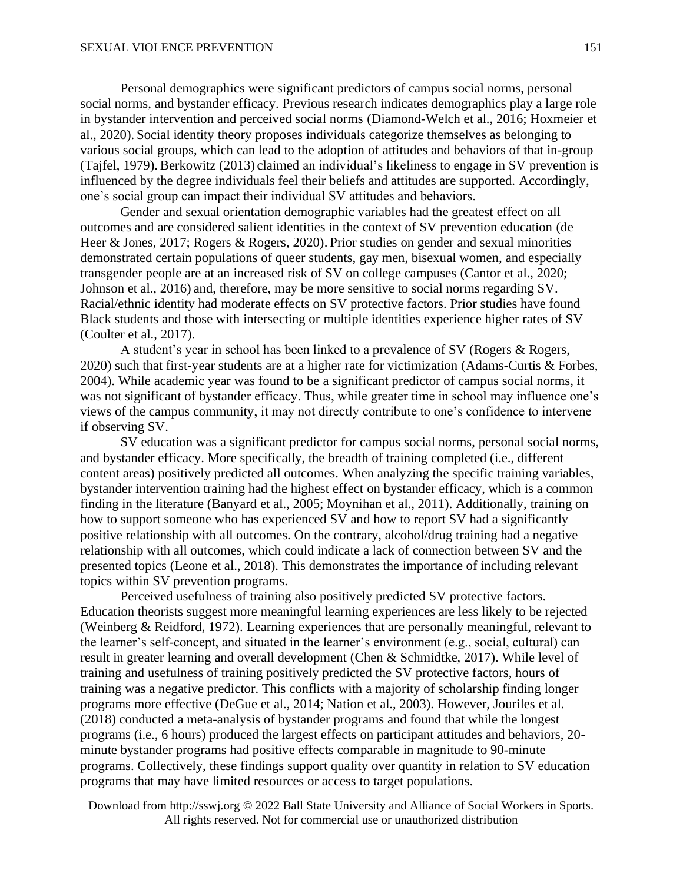Personal demographics were significant predictors of campus social norms, personal social norms, and bystander efficacy. Previous research indicates demographics play a large role in bystander intervention and perceived social norms (Diamond-Welch et al., 2016; Hoxmeier et al., 2020). Social identity theory proposes individuals categorize themselves as belonging to various social groups, which can lead to the adoption of attitudes and behaviors of that in-group (Tajfel, 1979).Berkowitz (2013) claimed an individual's likeliness to engage in SV prevention is influenced by the degree individuals feel their beliefs and attitudes are supported. Accordingly, one's social group can impact their individual SV attitudes and behaviors.

 Gender and sexual orientation demographic variables had the greatest effect on all outcomes and are considered salient identities in the context of SV prevention education (de Heer & Jones, 2017; Rogers & Rogers, 2020). Prior studies on gender and sexual minorities demonstrated certain populations of queer students, gay men, bisexual women, and especially transgender people are at an increased risk of SV on college campuses (Cantor et al., 2020; Johnson et al., 2016) and, therefore, may be more sensitive to social norms regarding SV. Racial/ethnic identity had moderate effects on SV protective factors. Prior studies have found Black students and those with intersecting or multiple identities experience higher rates of SV (Coulter et al., 2017).

A student's year in school has been linked to a prevalence of SV (Rogers & Rogers, 2020) such that first-year students are at a higher rate for victimization (Adams-Curtis & Forbes, 2004). While academic year was found to be a significant predictor of campus social norms, it was not significant of bystander efficacy. Thus, while greater time in school may influence one's views of the campus community, it may not directly contribute to one's confidence to intervene if observing SV.

SV education was a significant predictor for campus social norms, personal social norms, and bystander efficacy. More specifically, the breadth of training completed (i.e., different content areas) positively predicted all outcomes. When analyzing the specific training variables, bystander intervention training had the highest effect on bystander efficacy, which is a common finding in the literature (Banyard et al., 2005; Moynihan et al., 2011). Additionally, training on how to support someone who has experienced SV and how to report SV had a significantly positive relationship with all outcomes. On the contrary, alcohol/drug training had a negative relationship with all outcomes, which could indicate a lack of connection between SV and the presented topics (Leone et al., 2018). This demonstrates the importance of including relevant topics within SV prevention programs.

Perceived usefulness of training also positively predicted SV protective factors. Education theorists suggest more meaningful learning experiences are less likely to be rejected (Weinberg & Reidford, 1972). Learning experiences that are personally meaningful, relevant to the learner's self-concept, and situated in the learner's environment (e.g., social, cultural) can result in greater learning and overall development (Chen & Schmidtke, 2017). While level of training and usefulness of training positively predicted the SV protective factors, hours of training was a negative predictor. This conflicts with a majority of scholarship finding longer programs more effective (DeGue et al., 2014; Nation et al., 2003). However, Jouriles et al. (2018) conducted a meta-analysis of bystander programs and found that while the longest programs (i.e., 6 hours) produced the largest effects on participant attitudes and behaviors, 20 minute bystander programs had positive effects comparable in magnitude to 90-minute programs. Collectively, these findings support quality over quantity in relation to SV education programs that may have limited resources or access to target populations.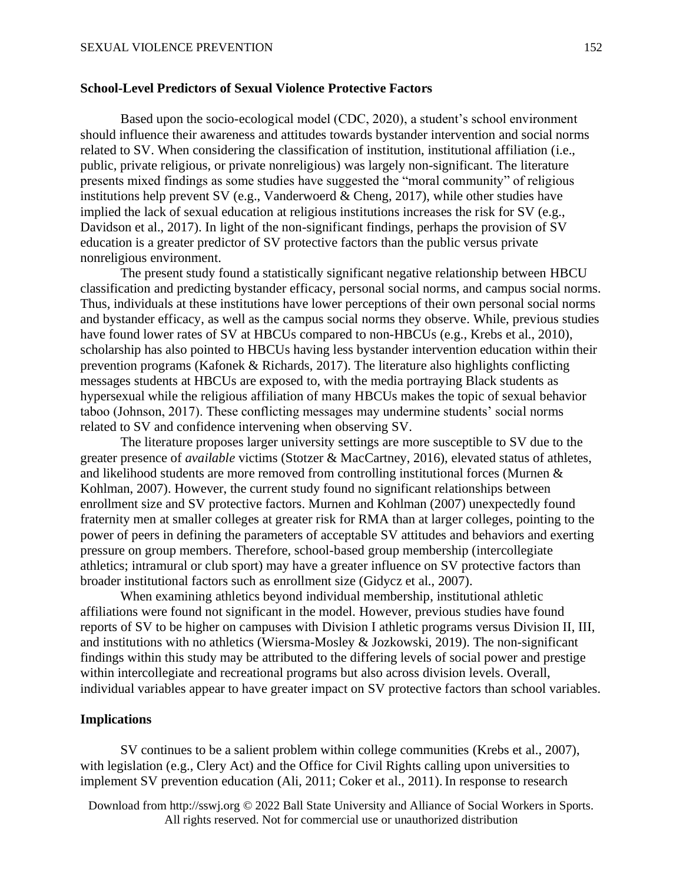# **School-Level Predictors of Sexual Violence Protective Factors**

Based upon the socio-ecological model (CDC, 2020), a student's school environment should influence their awareness and attitudes towards bystander intervention and social norms related to SV. When considering the classification of institution, institutional affiliation (i.e., public, private religious, or private nonreligious) was largely non-significant. The literature presents mixed findings as some studies have suggested the "moral community" of religious institutions help prevent SV (e.g., Vanderwoerd & Cheng, 2017), while other studies have implied the lack of sexual education at religious institutions increases the risk for SV (e.g., Davidson et al., 2017). In light of the non-significant findings, perhaps the provision of SV education is a greater predictor of SV protective factors than the public versus private nonreligious environment.

The present study found a statistically significant negative relationship between HBCU classification and predicting bystander efficacy, personal social norms, and campus social norms. Thus, individuals at these institutions have lower perceptions of their own personal social norms and bystander efficacy, as well as the campus social norms they observe. While, previous studies have found lower rates of SV at HBCUs compared to non-HBCUs (e.g., Krebs et al., 2010), scholarship has also pointed to HBCUs having less bystander intervention education within their prevention programs (Kafonek & Richards, 2017). The literature also highlights conflicting messages students at HBCUs are exposed to, with the media portraying Black students as hypersexual while the religious affiliation of many HBCUs makes the topic of sexual behavior taboo (Johnson, 2017). These conflicting messages may undermine students' social norms related to SV and confidence intervening when observing SV.

The literature proposes larger university settings are more susceptible to SV due to the greater presence of *available* victims (Stotzer & MacCartney, 2016), elevated status of athletes, and likelihood students are more removed from controlling institutional forces (Murnen & Kohlman, 2007). However, the current study found no significant relationships between enrollment size and SV protective factors. Murnen and Kohlman (2007) unexpectedly found fraternity men at smaller colleges at greater risk for RMA than at larger colleges, pointing to the power of peers in defining the parameters of acceptable SV attitudes and behaviors and exerting pressure on group members. Therefore, school-based group membership (intercollegiate athletics; intramural or club sport) may have a greater influence on SV protective factors than broader institutional factors such as enrollment size (Gidycz et al., 2007).

When examining athletics beyond individual membership, institutional athletic affiliations were found not significant in the model. However, previous studies have found reports of SV to be higher on campuses with Division I athletic programs versus Division II, III, and institutions with no athletics (Wiersma-Mosley & Jozkowski, 2019). The non-significant findings within this study may be attributed to the differing levels of social power and prestige within intercollegiate and recreational programs but also across division levels. Overall, individual variables appear to have greater impact on SV protective factors than school variables.

# **Implications**

SV continues to be a salient problem within college communities (Krebs et al., 2007), with legislation (e.g., Clery Act) and the Office for Civil Rights calling upon universities to implement SV prevention education (Ali, 2011; Coker et al., 2011). In response to research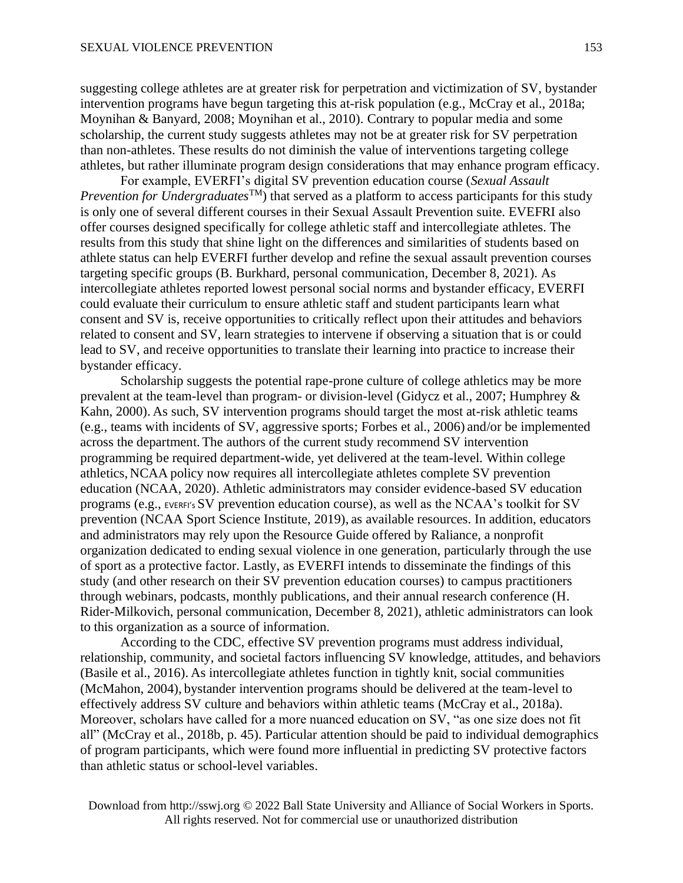suggesting college athletes are at greater risk for perpetration and victimization of SV, bystander intervention programs have begun targeting this at-risk population (e.g., McCray et al., 2018a; Moynihan & Banyard, 2008; Moynihan et al., 2010). Contrary to popular media and some scholarship, the current study suggests athletes may not be at greater risk for SV perpetration than non-athletes. These results do not diminish the value of interventions targeting college athletes, but rather illuminate program design considerations that may enhance program efficacy.

For example, EVERFI's digital SV prevention education course (*Sexual Assault Prevention for Undergraduates*TM) that served as a platform to access participants for this study is only one of several different courses in their Sexual Assault Prevention suite. EVEFRI also offer courses designed specifically for college athletic staff and intercollegiate athletes. The results from this study that shine light on the differences and similarities of students based on athlete status can help EVERFI further develop and refine the sexual assault prevention courses targeting specific groups (B. Burkhard, personal communication, December 8, 2021). As intercollegiate athletes reported lowest personal social norms and bystander efficacy, EVERFI could evaluate their curriculum to ensure athletic staff and student participants learn what consent and SV is, receive opportunities to critically reflect upon their attitudes and behaviors related to consent and SV, learn strategies to intervene if observing a situation that is or could lead to SV, and receive opportunities to translate their learning into practice to increase their bystander efficacy.

Scholarship suggests the potential rape-prone culture of college athletics may be more prevalent at the team-level than program- or division-level (Gidycz et al., 2007; Humphrey & Kahn, 2000). As such, SV intervention programs should target the most at-risk athletic teams (e.g., teams with incidents of SV, aggressive sports; Forbes et al., 2006) and/or be implemented across the department. The authors of the current study recommend SV intervention programming be required department-wide, yet delivered at the team-level. Within college athletics, NCAA policy now requires all intercollegiate athletes complete SV prevention education (NCAA, 2020). Athletic administrators may consider evidence-based SV education programs (e.g., EVERFI's SV prevention education course), as well as the NCAA's toolkit for SV prevention (NCAA Sport Science Institute, 2019), as available resources. In addition, educators and administrators may rely upon the Resource Guide offered by Raliance, a nonprofit organization dedicated to ending sexual violence in one generation, particularly through the use of sport as a protective factor. Lastly, as EVERFI intends to disseminate the findings of this study (and other research on their SV prevention education courses) to campus practitioners through webinars, podcasts, monthly publications, and their annual research conference (H. Rider-Milkovich, personal communication, December 8, 2021), athletic administrators can look to this organization as a source of information.

According to the CDC, effective SV prevention programs must address individual, relationship, community, and societal factors influencing SV knowledge, attitudes, and behaviors (Basile et al., 2016). As intercollegiate athletes function in tightly knit, social communities (McMahon, 2004), bystander intervention programs should be delivered at the team-level to effectively address SV culture and behaviors within athletic teams (McCray et al., 2018a). Moreover, scholars have called for a more nuanced education on SV, "as one size does not fit all" (McCray et al., 2018b, p. 45). Particular attention should be paid to individual demographics of program participants, which were found more influential in predicting SV protective factors than athletic status or school-level variables.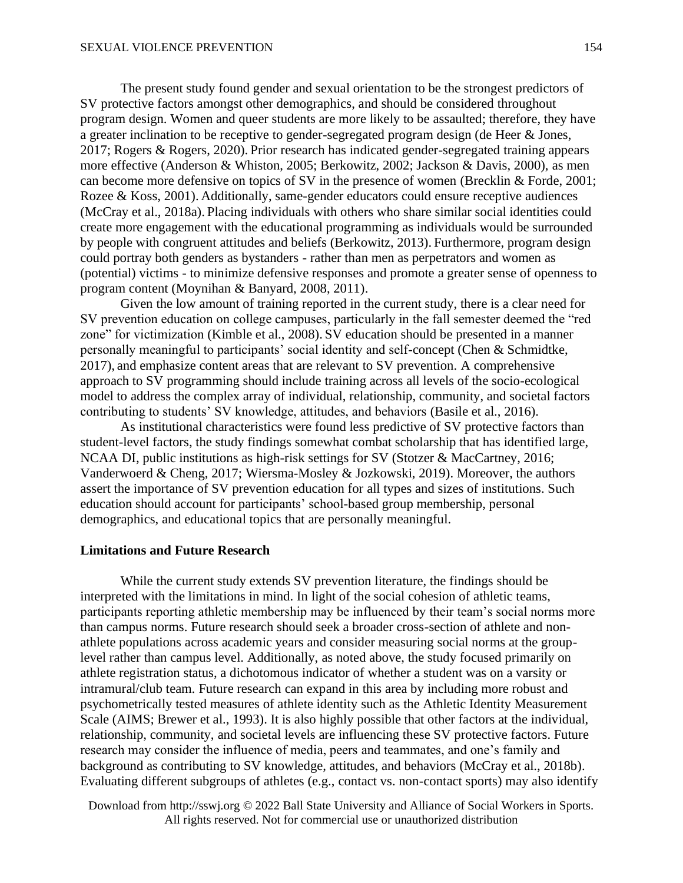The present study found gender and sexual orientation to be the strongest predictors of SV protective factors amongst other demographics, and should be considered throughout program design. Women and queer students are more likely to be assaulted; therefore, they have a greater inclination to be receptive to gender-segregated program design (de Heer & Jones, 2017; Rogers & Rogers, 2020). Prior research has indicated gender-segregated training appears more effective (Anderson & Whiston, 2005; Berkowitz, 2002; Jackson & Davis, 2000), as men can become more defensive on topics of SV in the presence of women (Brecklin & Forde, 2001; Rozee & Koss, 2001). Additionally, same-gender educators could ensure receptive audiences (McCray et al., 2018a). Placing individuals with others who share similar social identities could create more engagement with the educational programming as individuals would be surrounded by people with congruent attitudes and beliefs (Berkowitz, 2013). Furthermore, program design could portray both genders as bystanders - rather than men as perpetrators and women as (potential) victims - to minimize defensive responses and promote a greater sense of openness to program content (Moynihan & Banyard, 2008, 2011).

Given the low amount of training reported in the current study, there is a clear need for SV prevention education on college campuses, particularly in the fall semester deemed the "red zone" for victimization (Kimble et al., 2008). SV education should be presented in a manner personally meaningful to participants' social identity and self-concept (Chen & Schmidtke, 2017), and emphasize content areas that are relevant to SV prevention. A comprehensive approach to SV programming should include training across all levels of the socio-ecological model to address the complex array of individual, relationship, community, and societal factors contributing to students' SV knowledge, attitudes, and behaviors (Basile et al., 2016).

As institutional characteristics were found less predictive of SV protective factors than student-level factors, the study findings somewhat combat scholarship that has identified large, NCAA DI, public institutions as high-risk settings for SV (Stotzer & MacCartney, 2016; Vanderwoerd & Cheng, 2017; Wiersma-Mosley & Jozkowski, 2019). Moreover, the authors assert the importance of SV prevention education for all types and sizes of institutions. Such education should account for participants' school-based group membership, personal demographics, and educational topics that are personally meaningful.

#### **Limitations and Future Research**

While the current study extends SV prevention literature, the findings should be interpreted with the limitations in mind. In light of the social cohesion of athletic teams, participants reporting athletic membership may be influenced by their team's social norms more than campus norms. Future research should seek a broader cross-section of athlete and nonathlete populations across academic years and consider measuring social norms at the grouplevel rather than campus level. Additionally, as noted above, the study focused primarily on athlete registration status, a dichotomous indicator of whether a student was on a varsity or intramural/club team. Future research can expand in this area by including more robust and psychometrically tested measures of athlete identity such as the Athletic Identity Measurement Scale (AIMS; Brewer et al., 1993). It is also highly possible that other factors at the individual, relationship, community, and societal levels are influencing these SV protective factors. Future research may consider the influence of media, peers and teammates, and one's family and background as contributing to SV knowledge, attitudes, and behaviors (McCray et al., 2018b). Evaluating different subgroups of athletes (e.g., contact vs. non-contact sports) may also identify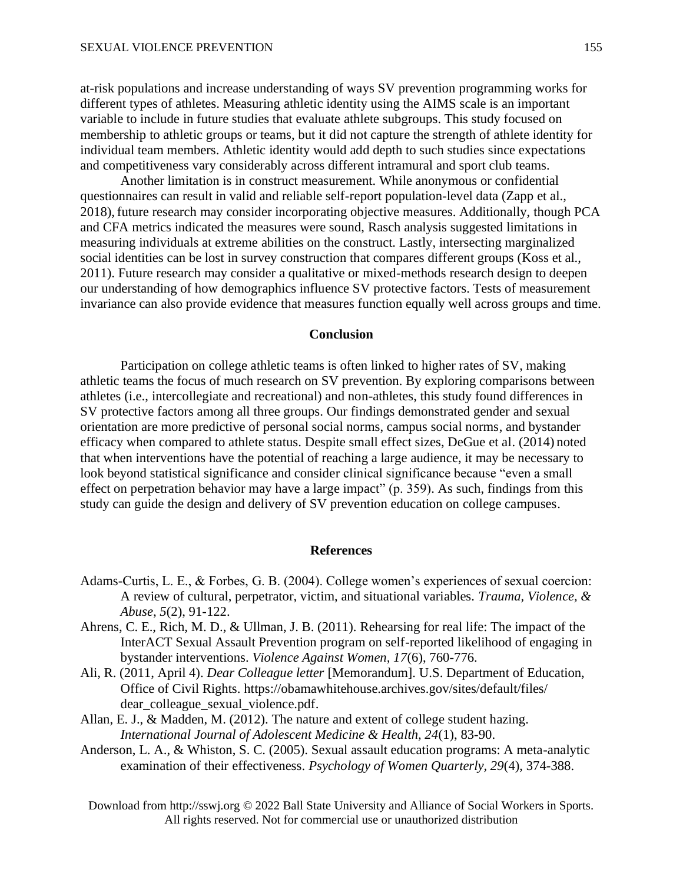at-risk populations and increase understanding of ways SV prevention programming works for different types of athletes. Measuring athletic identity using the AIMS scale is an important variable to include in future studies that evaluate athlete subgroups. This study focused on membership to athletic groups or teams, but it did not capture the strength of athlete identity for individual team members. Athletic identity would add depth to such studies since expectations and competitiveness vary considerably across different intramural and sport club teams.

Another limitation is in construct measurement. While anonymous or confidential questionnaires can result in valid and reliable self-report population-level data (Zapp et al., 2018), future research may consider incorporating objective measures. Additionally, though PCA and CFA metrics indicated the measures were sound, Rasch analysis suggested limitations in measuring individuals at extreme abilities on the construct. Lastly, intersecting marginalized social identities can be lost in survey construction that compares different groups (Koss et al., 2011). Future research may consider a qualitative or mixed-methods research design to deepen our understanding of how demographics influence SV protective factors. Tests of measurement invariance can also provide evidence that measures function equally well across groups and time.

#### **Conclusion**

Participation on college athletic teams is often linked to higher rates of SV, making athletic teams the focus of much research on SV prevention. By exploring comparisons between athletes (i.e., intercollegiate and recreational) and non-athletes, this study found differences in SV protective factors among all three groups. Our findings demonstrated gender and sexual orientation are more predictive of personal social norms, campus social norms, and bystander efficacy when compared to athlete status. Despite small effect sizes, DeGue et al. (2014) noted that when interventions have the potential of reaching a large audience, it may be necessary to look beyond statistical significance and consider clinical significance because "even a small effect on perpetration behavior may have a large impact" (p. 359). As such, findings from this study can guide the design and delivery of SV prevention education on college campuses.

#### **References**

- Adams-Curtis, L. E., & Forbes, G. B. (2004). College women's experiences of sexual coercion: A review of cultural, perpetrator, victim, and situational variables. *Trauma, Violence, & Abuse*, *5*(2), 91-122.
- Ahrens, C. E., Rich, M. D., & Ullman, J. B. (2011). Rehearsing for real life: The impact of the InterACT Sexual Assault Prevention program on self-reported likelihood of engaging in bystander interventions. *Violence Against Women, 17*(6), 760-776.
- Ali, R. (2011, April 4). *Dear Colleague letter* [Memorandum]. U.S. Department of Education, Office of Civil Rights. https://obamawhitehouse.archives.gov/sites/default/files/ dear\_colleague\_sexual\_violence.pdf.
- Allan, E. J., & Madden, M. (2012). The nature and extent of college student hazing. *International Journal of Adolescent Medicine & Health, 24*(1), 83-90.
- Anderson, L. A., & Whiston, S. C. (2005). Sexual assault education programs: A meta-analytic examination of their effectiveness. *Psychology of Women Quarterly, 29*(4), 374-388.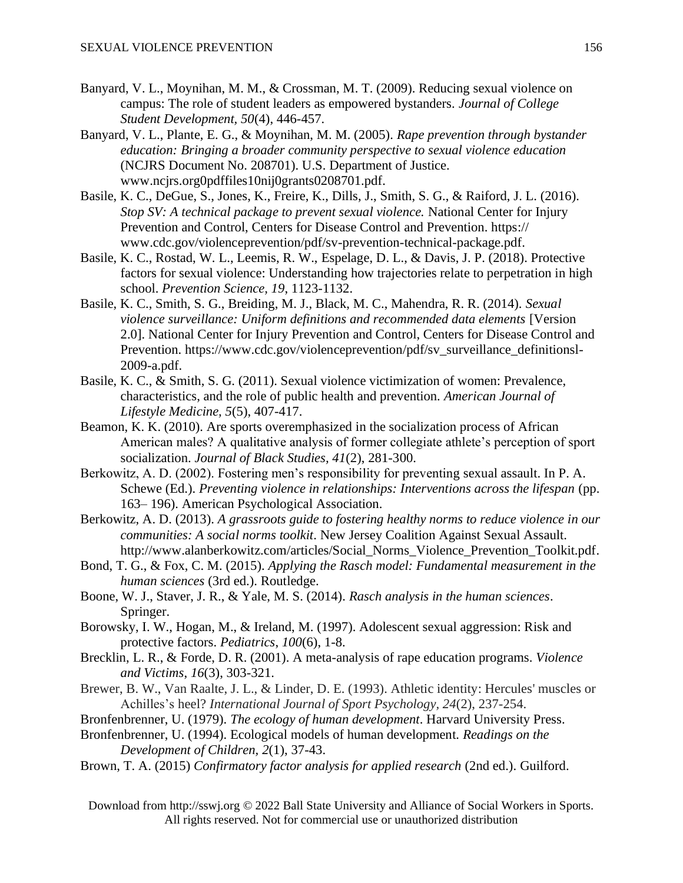- Banyard, V. L., Moynihan, M. M., & Crossman, M. T. (2009). Reducing sexual violence on campus: The role of student leaders as empowered bystanders. *Journal of College Student Development, 50*(4), 446-457.
- Banyard, V. L., Plante, E. G., & Moynihan, M. M. (2005). *Rape prevention through bystander education: Bringing a broader community perspective to sexual violence education* (NCJRS Document No. 208701). U.S. Department of Justice. www.ncjrs.org0pdffiles10nij0grants0208701.pdf.
- Basile, K. C., DeGue, S., Jones, K., Freire, K., Dills, J., Smith, S. G., & Raiford, J. L. (2016). *Stop SV: A technical package to prevent sexual violence.* National Center for Injury Prevention and Control, Centers for Disease Control and Prevention. https:// www.cdc.gov/violenceprevention/pdf/sv-prevention-technical-package.pdf.
- Basile, K. C., Rostad, W. L., Leemis, R. W., Espelage, D. L., & Davis, J. P. (2018). Protective factors for sexual violence: Understanding how trajectories relate to perpetration in high school. *Prevention Science, 19*, 1123-1132.
- Basile, K. C., Smith, S. G., Breiding, M. J., Black, M. C., Mahendra, R. R. (2014). *Sexual violence surveillance: Uniform definitions and recommended data elements* [Version 2.0]. National Center for Injury Prevention and Control, Centers for Disease Control and Prevention. https://www.cdc.gov/violenceprevention/pdf/sv\_surveillance\_definitionsl-2009-a.pdf.
- Basile, K. C., & Smith, S. G. (2011). Sexual violence victimization of women: Prevalence, characteristics, and the role of public health and prevention. *American Journal of Lifestyle Medicine, 5*(5), 407-417.
- Beamon, K. K. (2010). Are sports overemphasized in the socialization process of African American males? A qualitative analysis of former collegiate athlete's perception of sport socialization. *Journal of Black Studies, 41*(2), 281-300.
- Berkowitz, A. D. (2002). Fostering men's responsibility for preventing sexual assault. In P. A. Schewe (Ed.). *Preventing violence in relationships: Interventions across the lifespan* (pp. 163– 196). American Psychological Association.
- Berkowitz, A. D. (2013). *A grassroots guide to fostering healthy norms to reduce violence in our communities: A social norms toolkit*. New Jersey Coalition Against Sexual Assault. http://www.alanberkowitz.com/articles/Social\_Norms\_Violence\_Prevention\_Toolkit.pdf.
- Bond, T. G., & Fox, C. M. (2015). *Applying the Rasch model: Fundamental measurement in the human sciences* (3rd ed.). Routledge.
- Boone, W. J., Staver, J. R., & Yale, M. S. (2014). *Rasch analysis in the human sciences*. Springer.
- Borowsky, I. W., Hogan, M., & Ireland, M. (1997). Adolescent sexual aggression: Risk and protective factors. *Pediatrics*, *100*(6), 1-8.
- Brecklin, L. R., & Forde, D. R. (2001). A meta-analysis of rape education programs. *Violence and Victims*, *16*(3), 303-321.
- Brewer, B. W., Van Raalte, J. L., & Linder, D. E. (1993). Athletic identity: Hercules' muscles or Achilles's heel? *International Journal of Sport Psychology, 24*(2), 237-254.
- Bronfenbrenner, U. (1979). *The ecology of human development*. Harvard University Press.
- Bronfenbrenner, U. (1994). Ecological models of human development. *Readings on the Development of Children, 2*(1), 37-43.
- Brown, T. A. (2015) *Confirmatory factor analysis for applied research* (2nd ed.). Guilford.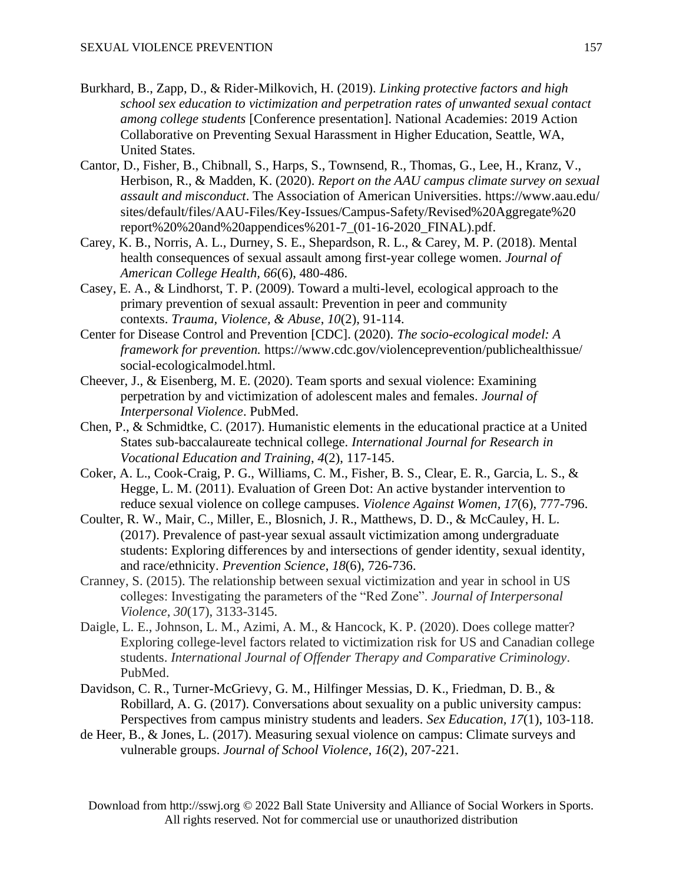- Burkhard, B., Zapp, D., & Rider-Milkovich, H. (2019). *Linking protective factors and high school sex education to victimization and perpetration rates of unwanted sexual contact among college students* [Conference presentation]. National Academies: 2019 Action Collaborative on Preventing Sexual Harassment in Higher Education, Seattle, WA, United States.
- Cantor, D., Fisher, B., Chibnall, S., Harps, S., Townsend, R., Thomas, G., Lee, H., Kranz, V., Herbison, R., & Madden, K. (2020). *Report on the AAU campus climate survey on sexual assault and misconduct*. The Association of American Universities. https://www.aau.edu/ sites/default/files/AAU-Files/Key-Issues/Campus-Safety/Revised%20Aggregate%20 report%20%20and%20appendices%201-7\_(01-16-2020\_FINAL).pdf.
- Carey, K. B., Norris, A. L., Durney, S. E., Shepardson, R. L., & Carey, M. P. (2018). Mental health consequences of sexual assault among first-year college women. *Journal of American College Health, 66*(6), 480-486.
- Casey, E. A., & Lindhorst, T. P. (2009). Toward a multi-level, ecological approach to the primary prevention of sexual assault: Prevention in peer and community contexts. *Trauma, Violence, & Abuse*, *10*(2), 91-114.
- Center for Disease Control and Prevention [CDC]. (2020). *The socio-ecological model: A framework for prevention.* https://www.cdc.gov/violenceprevention/publichealthissue/ social-ecologicalmodel.html.
- Cheever, J., & Eisenberg, M. E. (2020). Team sports and sexual violence: Examining perpetration by and victimization of adolescent males and females. *Journal of Interpersonal Violence*. PubMed.
- Chen, P., & Schmidtke, C. (2017). Humanistic elements in the educational practice at a United States sub-baccalaureate technical college. *International Journal for Research in Vocational Education and Training*, *4*(2), 117-145.
- Coker, A. L., Cook-Craig, P. G., Williams, C. M., Fisher, B. S., Clear, E. R., Garcia, L. S., & Hegge, L. M. (2011). Evaluation of Green Dot: An active bystander intervention to reduce sexual violence on college campuses. *Violence Against Women, 17*(6), 777-796.
- Coulter, R. W., Mair, C., Miller, E., Blosnich, J. R., Matthews, D. D., & McCauley, H. L. (2017). Prevalence of past-year sexual assault victimization among undergraduate students: Exploring differences by and intersections of gender identity, sexual identity, and race/ethnicity. *Prevention Science*, *18*(6), 726-736.
- Cranney, S. (2015). The relationship between sexual victimization and year in school in US colleges: Investigating the parameters of the "Red Zone". *Journal of Interpersonal Violence*, *30*(17), 3133-3145.
- Daigle, L. E., Johnson, L. M., Azimi, A. M., & Hancock, K. P. (2020). Does college matter? Exploring college-level factors related to victimization risk for US and Canadian college students. *International Journal of Offender Therapy and Comparative Criminology*. PubMed.
- Davidson, C. R., Turner-McGrievy, G. M., Hilfinger Messias, D. K., Friedman, D. B., & Robillard, A. G. (2017). Conversations about sexuality on a public university campus: Perspectives from campus ministry students and leaders. *Sex Education, 17*(1), 103-118.
- de Heer, B., & Jones, L. (2017). Measuring sexual violence on campus: Climate surveys and vulnerable groups. *Journal of School Violence*, *16*(2), 207-221.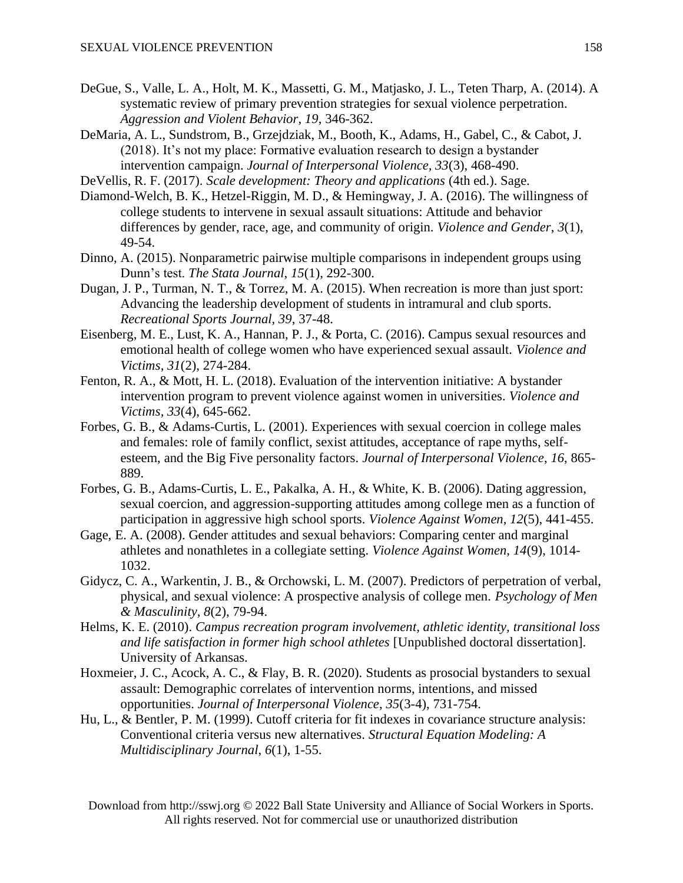- DeGue, S., Valle, L. A., Holt, M. K., Massetti, G. M., Matjasko, J. L., Teten Tharp, A. (2014). A systematic review of primary prevention strategies for sexual violence perpetration. *Aggression and Violent Behavior, 19*, 346-362.
- DeMaria, A. L., Sundstrom, B., Grzejdziak, M., Booth, K., Adams, H., Gabel, C., & Cabot, J. (2018). It's not my place: Formative evaluation research to design a bystander intervention campaign. *Journal of Interpersonal Violence, 33*(3), 468-490.
- DeVellis, R. F. (2017). *Scale development: Theory and applications* (4th ed.). Sage.
- Diamond-Welch, B. K., Hetzel-Riggin, M. D., & Hemingway, J. A. (2016). The willingness of college students to intervene in sexual assault situations: Attitude and behavior differences by gender, race, age, and community of origin. *Violence and Gender*, *3*(1), 49-54.
- Dinno, A. (2015). Nonparametric pairwise multiple comparisons in independent groups using Dunn's test. *The Stata Journal*, *15*(1), 292-300.
- Dugan, J. P., Turman, N. T., & Torrez, M. A. (2015). When recreation is more than just sport: Advancing the leadership development of students in intramural and club sports. *Recreational Sports Journal, 39*, 37-48.
- Eisenberg, M. E., Lust, K. A., Hannan, P. J., & Porta, C. (2016). Campus sexual resources and emotional health of college women who have experienced sexual assault. *Violence and Victims, 31*(2), 274-284.
- Fenton, R. A., & Mott, H. L. (2018). Evaluation of the intervention initiative: A bystander intervention program to prevent violence against women in universities. *Violence and Victims, 33*(4), 645-662.
- Forbes, G. B., & Adams-Curtis, L. (2001). Experiences with sexual coercion in college males and females: role of family conflict, sexist attitudes, acceptance of rape myths, selfesteem, and the Big Five personality factors. *Journal of Interpersonal Violence*, *16*, 865- 889.
- Forbes, G. B., Adams-Curtis, L. E., Pakalka, A. H., & White, K. B. (2006). Dating aggression, sexual coercion, and aggression-supporting attitudes among college men as a function of participation in aggressive high school sports. *Violence Against Women, 12*(5), 441-455.
- Gage, E. A. (2008). Gender attitudes and sexual behaviors: Comparing center and marginal athletes and nonathletes in a collegiate setting. *Violence Against Women, 14*(9), 1014- 1032.
- Gidycz, C. A., Warkentin, J. B., & Orchowski, L. M. (2007). Predictors of perpetration of verbal, physical, and sexual violence: A prospective analysis of college men. *Psychology of Men & Masculinity, 8*(2), 79-94.
- Helms, K. E. (2010). *Campus recreation program involvement, athletic identity, transitional loss and life satisfaction in former high school athletes* [Unpublished doctoral dissertation]. University of Arkansas.
- Hoxmeier, J. C., Acock, A. C., & Flay, B. R. (2020). Students as prosocial bystanders to sexual assault: Demographic correlates of intervention norms, intentions, and missed opportunities. *Journal of Interpersonal Violence*, *35*(3-4), 731-754.
- Hu, L., & Bentler, P. M. (1999). Cutoff criteria for fit indexes in covariance structure analysis: Conventional criteria versus new alternatives. *Structural Equation Modeling: A Multidisciplinary Journal*, *6*(1), 1-55.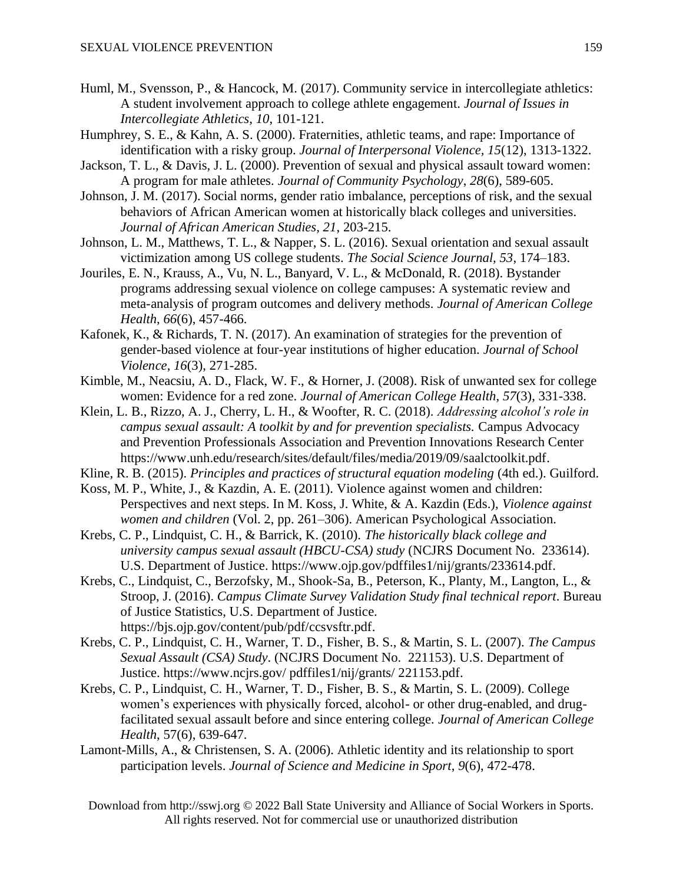- Huml, M., Svensson, P., & Hancock, M. (2017). Community service in intercollegiate athletics: A student involvement approach to college athlete engagement. *Journal of Issues in Intercollegiate Athletics, 10*, 101-121.
- Humphrey, S. E., & Kahn, A. S. (2000). Fraternities, athletic teams, and rape: Importance of identification with a risky group. *Journal of Interpersonal Violence, 15*(12), 1313-1322.
- Jackson, T. L., & Davis, J. L. (2000). Prevention of sexual and physical assault toward women: A program for male athletes. *Journal of Community Psychology*, *28*(6), 589-605.
- Johnson, J. M. (2017). Social norms, gender ratio imbalance, perceptions of risk, and the sexual behaviors of African American women at historically black colleges and universities. *Journal of African American Studies, 21*, 203-215.
- Johnson, L. M., Matthews, T. L., & Napper, S. L. (2016). Sexual orientation and sexual assault victimization among US college students. *The Social Science Journal, 53*, 174–183.
- Jouriles, E. N., Krauss, A., Vu, N. L., Banyard, V. L., & McDonald, R. (2018). Bystander programs addressing sexual violence on college campuses: A systematic review and meta-analysis of program outcomes and delivery methods. *Journal of American College Health*, *66*(6), 457-466.
- Kafonek, K., & Richards, T. N. (2017). An examination of strategies for the prevention of gender-based violence at four-year institutions of higher education. *Journal of School Violence*, *16*(3), 271-285.
- Kimble, M., Neacsiu, A. D., Flack, W. F., & Horner, J. (2008). Risk of unwanted sex for college women: Evidence for a red zone. *Journal of American College Health*, *57*(3), 331-338.
- Klein, L. B., Rizzo, A. J., Cherry, L. H., & Woofter, R. C. (2018). *Addressing alcohol's role in campus sexual assault: A toolkit by and for prevention specialists.* Campus Advocacy and Prevention Professionals Association and Prevention Innovations Research Center https://www.unh.edu/research/sites/default/files/media/2019/09/saalctoolkit.pdf.
- Kline, R. B. (2015). *Principles and practices of structural equation modeling* (4th ed.). Guilford.
- Koss, M. P., White, J., & Kazdin, A. E. (2011). Violence against women and children: Perspectives and next steps. In M. Koss, J. White, & A. Kazdin (Eds.), *Violence against women and children* (Vol. 2, pp. 261–306). American Psychological Association.
- Krebs, C. P., Lindquist, C. H., & Barrick, K. (2010). *The historically black college and university campus sexual assault (HBCU-CSA) study* (NCJRS Document No. 233614). U.S. Department of Justice. https://www.ojp.gov/pdffiles1/nij/grants/233614.pdf.
- Krebs, C., Lindquist, C., Berzofsky, M., Shook-Sa, B., Peterson, K., Planty, M., Langton, L., & Stroop, J. (2016). *Campus Climate Survey Validation Study final technical report*. Bureau of Justice Statistics, U.S. Department of Justice. https://bjs.ojp.gov/content/pub/pdf/ccsvsftr.pdf.
- Krebs, C. P., Lindquist, C. H., Warner, T. D., Fisher, B. S., & Martin, S. L. (2007). *The Campus Sexual Assault (CSA) Study*. (NCJRS Document No. 221153). U.S. Department of Justice. https://www.ncjrs.gov/ pdffiles1/nij/grants/ 221153.pdf.
- Krebs, C. P., Lindquist, C. H., Warner, T. D., Fisher, B. S., & Martin, S. L. (2009). College women's experiences with physically forced, alcohol- or other drug-enabled, and drugfacilitated sexual assault before and since entering college. *Journal of American College Health*, 57(6), 639-647.
- Lamont-Mills, A., & Christensen, S. A. (2006). Athletic identity and its relationship to sport participation levels. *Journal of Science and Medicine in Sport*, *9*(6), 472-478.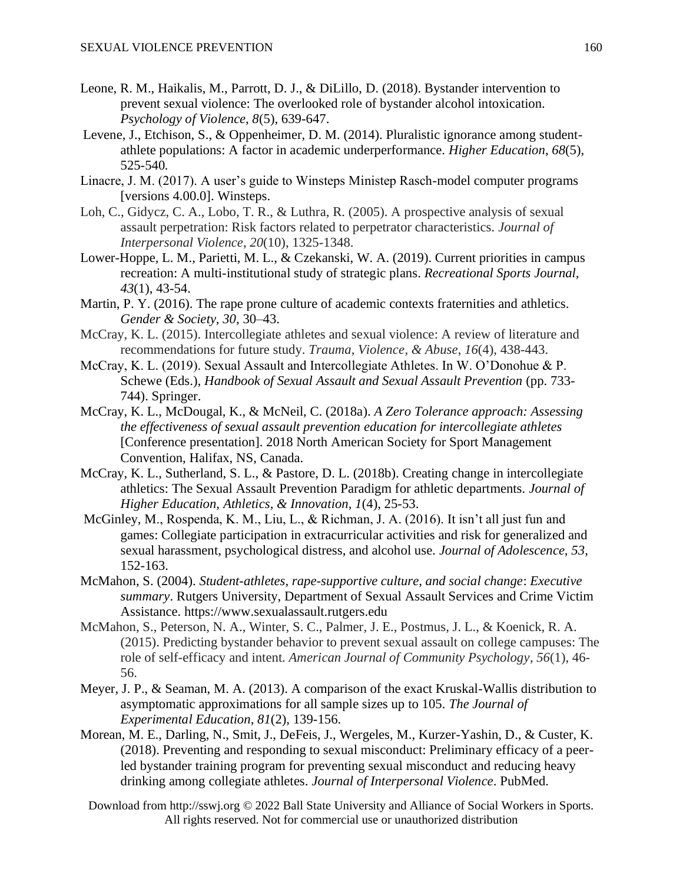- Leone, R. M., Haikalis, M., Parrott, D. J., & DiLillo, D. (2018). Bystander intervention to prevent sexual violence: The overlooked role of bystander alcohol intoxication. *Psychology of Violence, 8*(5), 639-647.
- Levene, J., Etchison, S., & Oppenheimer, D. M. (2014). Pluralistic ignorance among studentathlete populations: A factor in academic underperformance. *Higher Education*, *68*(5), 525-540*.*
- Linacre, J. M. (2017). A user's guide to Winsteps Ministep Rasch-model computer programs [versions 4.00.0]. Winsteps.
- Loh, C., Gidycz, C. A., Lobo, T. R., & Luthra, R. (2005). A prospective analysis of sexual assault perpetration: Risk factors related to perpetrator characteristics. *Journal of Interpersonal Violence*, *20*(10), 1325-1348.
- Lower-Hoppe, L. M., Parietti, M. L., & Czekanski, W. A. (2019). Current priorities in campus recreation: A multi-institutional study of strategic plans. *Recreational Sports Journal, 43*(1), 43-54.
- Martin, P. Y. (2016). The rape prone culture of academic contexts fraternities and athletics. *Gender & Society, 30*, 30–43.
- McCray, K. L. (2015). Intercollegiate athletes and sexual violence: A review of literature and recommendations for future study. *Trauma, Violence, & Abuse*, *16*(4), 438-443.
- McCray, K. L. (2019). Sexual Assault and Intercollegiate Athletes. In W. O'Donohue & P. Schewe (Eds.), *Handbook of Sexual Assault and Sexual Assault Prevention* (pp. 733-744). Springer.
- McCray, K. L., McDougal, K., & McNeil, C. (2018a). *A Zero Tolerance approach: Assessing the effectiveness of sexual assault prevention education for intercollegiate athletes* [Conference presentation]. 2018 North American Society for Sport Management Convention, Halifax, NS, Canada.
- McCray, K. L., Sutherland, S. L., & Pastore, D. L. (2018b). Creating change in intercollegiate athletics: The Sexual Assault Prevention Paradigm for athletic departments. *Journal of Higher Education, Athletics, & Innovation, 1*(4), 25-53.
- McGinley, M., Rospenda, K. M., Liu, L., & Richman, J. A. (2016). It isn't all just fun and games: Collegiate participation in extracurricular activities and risk for generalized and sexual harassment, psychological distress, and alcohol use. *Journal of Adolescence, 53*, 152-163.
- McMahon, S. (2004). *Student-athletes, rape-supportive culture, and social change*: *Executive summary*. Rutgers University, Department of Sexual Assault Services and Crime Victim Assistance. https://www.sexualassault.rutgers.edu
- McMahon, S., Peterson, N. A., Winter, S. C., Palmer, J. E., Postmus, J. L., & Koenick, R. A. (2015). Predicting bystander behavior to prevent sexual assault on college campuses: The role of self-efficacy and intent. *American Journal of Community Psychology*, *56*(1), 46- 56.
- Meyer, J. P., & Seaman, M. A. (2013). A comparison of the exact Kruskal-Wallis distribution to asymptomatic approximations for all sample sizes up to 105. *The Journal of Experimental Education*, *81*(2), 139-156.
- Morean, M. E., Darling, N., Smit, J., DeFeis, J., Wergeles, M., Kurzer-Yashin, D., & Custer, K. (2018). Preventing and responding to sexual misconduct: Preliminary efficacy of a peerled bystander training program for preventing sexual misconduct and reducing heavy drinking among collegiate athletes. *Journal of Interpersonal Violence*. PubMed.
	- Download from http://sswj.org © 2022 Ball State University and Alliance of Social Workers in Sports. All rights reserved. Not for commercial use or unauthorized distribution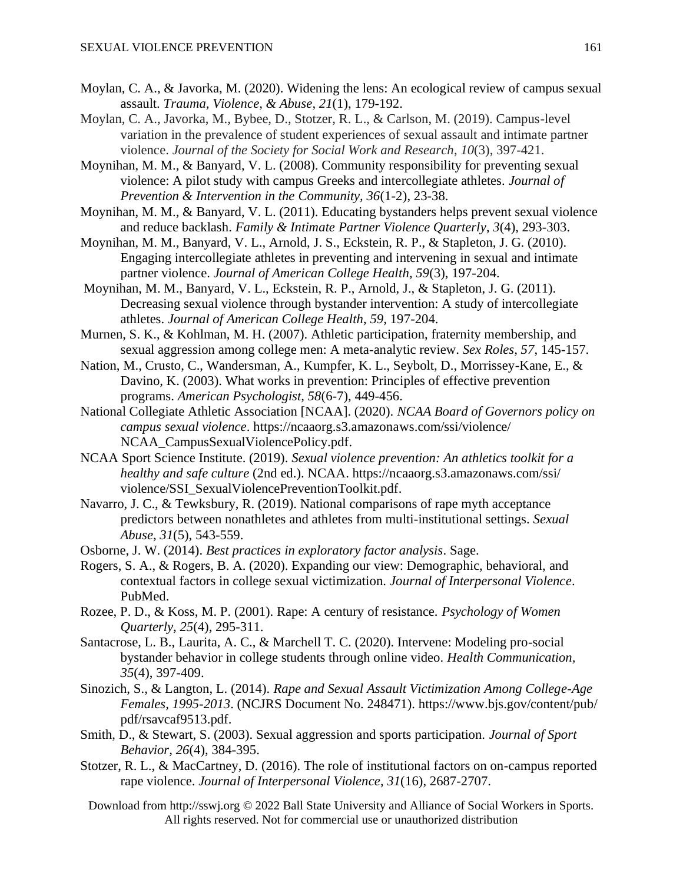- Moylan, C. A., & Javorka, M. (2020). Widening the lens: An ecological review of campus sexual assault. *Trauma, Violence, & Abuse*, *21*(1), 179-192.
- Moylan, C. A., Javorka, M., Bybee, D., Stotzer, R. L., & Carlson, M. (2019). Campus-level variation in the prevalence of student experiences of sexual assault and intimate partner violence. *Journal of the Society for Social Work and Research*, *10*(3), 397-421.
- Moynihan, M. M., & Banyard, V. L. (2008). Community responsibility for preventing sexual violence: A pilot study with campus Greeks and intercollegiate athletes. *Journal of Prevention & Intervention in the Community, 36*(1-2), 23-38.
- Moynihan, M. M., & Banyard, V. L. (2011). Educating bystanders helps prevent sexual violence and reduce backlash. *Family & Intimate Partner Violence Quarterly*, *3*(4), 293-303.
- Moynihan, M. M., Banyard, V. L., Arnold, J. S., Eckstein, R. P., & Stapleton, J. G. (2010). Engaging intercollegiate athletes in preventing and intervening in sexual and intimate partner violence. *Journal of American College Health, 59*(3), 197-204.
- Moynihan, M. M., Banyard, V. L., Eckstein, R. P., Arnold, J., & Stapleton, J. G. (2011). Decreasing sexual violence through bystander intervention: A study of intercollegiate athletes. *Journal of American College Health*, *59*, 197-204.
- Murnen, S. K., & Kohlman, M. H. (2007). Athletic participation, fraternity membership, and sexual aggression among college men: A meta-analytic review. *Sex Roles, 57*, 145-157.
- Nation, M., Crusto, C., Wandersman, A., Kumpfer, K. L., Seybolt, D., Morrissey-Kane, E., & Davino, K. (2003). What works in prevention: Principles of effective prevention programs. *American Psychologist, 58*(6-7), 449-456.
- National Collegiate Athletic Association [NCAA]. (2020). *NCAA Board of Governors policy on campus sexual violence*. https://ncaaorg.s3.amazonaws.com/ssi/violence/ NCAA CampusSexualViolencePolicy.pdf.
- NCAA Sport Science Institute. (2019). *Sexual violence prevention: An athletics toolkit for a healthy and safe culture* (2nd ed.). NCAA. https://ncaaorg.s3.amazonaws.com/ssi/ violence/SSI\_SexualViolencePreventionToolkit.pdf.
- Navarro, J. C., & Tewksbury, R. (2019). National comparisons of rape myth acceptance predictors between nonathletes and athletes from multi-institutional settings. *Sexual Abuse*, *31*(5), 543-559.
- Osborne, J. W. (2014). *Best practices in exploratory factor analysis*. Sage.
- Rogers, S. A., & Rogers, B. A. (2020). Expanding our view: Demographic, behavioral, and contextual factors in college sexual victimization. *Journal of Interpersonal Violence*. PubMed.
- Rozee, P. D., & Koss, M. P. (2001). Rape: A century of resistance. *Psychology of Women Quarterly*, *25*(4), 295-311.
- Santacrose, L. B., Laurita, A. C., & Marchell T. C. (2020). Intervene: Modeling pro-social bystander behavior in college students through online video. *Health Communication, 35*(4), 397-409.
- Sinozich, S., & Langton, L. (2014). *Rape and Sexual Assault Victimization Among College-Age Females, 1995-2013*. (NCJRS Document No. 248471). https://www.bjs.gov/content/pub/ pdf/rsavcaf9513.pdf.
- Smith, D., & Stewart, S. (2003). Sexual aggression and sports participation. *Journal of Sport Behavior, 26*(4), 384-395.
- Stotzer, R. L., & MacCartney, D. (2016). The role of institutional factors on on-campus reported rape violence. *Journal of Interpersonal Violence*, *31*(16), 2687-2707.